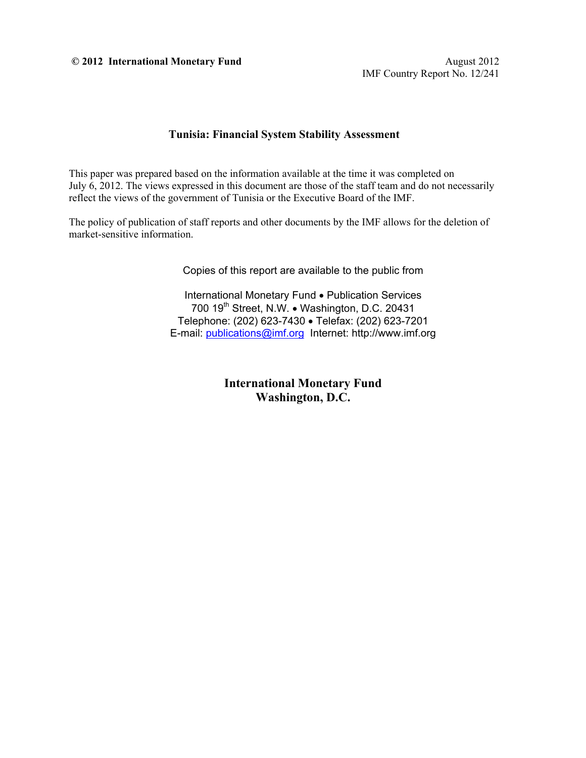**© 2012 International Monetary Fund** August 2012

IMF Country Report No. 12/241

### **Tunisia: Financial System Stability Assessment**

This paper was prepared based on the information available at the time it was completed on July 6, 2012. The views expressed in this document are those of the staff team and do not necessarily reflect the views of the government of Tunisia or the Executive Board of the IMF.

The policy of publication of staff reports and other documents by the IMF allows for the deletion of market-sensitive information.

Copies of this report are available to the public from

International Monetary Fund . Publication Services 700 19<sup>th</sup> Street, N.W. • Washington, D.C. 20431 Telephone: (202) 623-7430 Telefax: (202) 623-7201 E-mail: publications@imf.org Internet: http://www.imf.org

> **International Monetary Fund Washington, D.C.**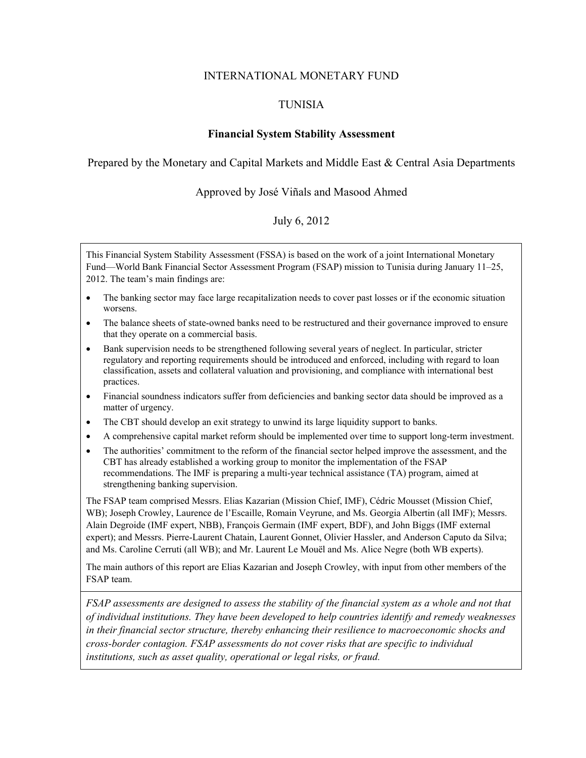### INTERNATIONAL MONETARY FUND

## TUNISIA

## **Financial System Stability Assessment**

### Prepared by the Monetary and Capital Markets and Middle East & Central Asia Departments

### Approved by José Viñals and Masood Ahmed

## July 6, 2012

This Financial System Stability Assessment (FSSA) is based on the work of a joint International Monetary Fund—World Bank Financial Sector Assessment Program (FSAP) mission to Tunisia during January 11–25, 2012. The team's main findings are:

- The banking sector may face large recapitalization needs to cover past losses or if the economic situation worsens.
- The balance sheets of state-owned banks need to be restructured and their governance improved to ensure that they operate on a commercial basis.
- Bank supervision needs to be strengthened following several years of neglect. In particular, stricter regulatory and reporting requirements should be introduced and enforced, including with regard to loan classification, assets and collateral valuation and provisioning, and compliance with international best practices.
- Financial soundness indicators suffer from deficiencies and banking sector data should be improved as a matter of urgency.
- The CBT should develop an exit strategy to unwind its large liquidity support to banks.
- A comprehensive capital market reform should be implemented over time to support long-term investment.
- The authorities' commitment to the reform of the financial sector helped improve the assessment, and the CBT has already established a working group to monitor the implementation of the FSAP recommendations. The IMF is preparing a multi-year technical assistance (TA) program, aimed at strengthening banking supervision.

The FSAP team comprised Messrs. Elias Kazarian (Mission Chief, IMF), Cédric Mousset (Mission Chief, WB); Joseph Crowley, Laurence de l'Escaille, Romain Veyrune, and Ms. Georgia Albertin (all IMF); Messrs. Alain Degroide (IMF expert, NBB), François Germain (IMF expert, BDF), and John Biggs (IMF external expert); and Messrs. Pierre-Laurent Chatain, Laurent Gonnet, Olivier Hassler, and Anderson Caputo da Silva; and Ms. Caroline Cerruti (all WB); and Mr. Laurent Le Mouël and Ms. Alice Negre (both WB experts).

The main authors of this report are Elias Kazarian and Joseph Crowley, with input from other members of the FSAP team.

*FSAP assessments are designed to assess the stability of the financial system as a whole and not that of individual institutions. They have been developed to help countries identify and remedy weaknesses in their financial sector structure, thereby enhancing their resilience to macroeconomic shocks and cross-border contagion. FSAP assessments do not cover risks that are specific to individual institutions, such as asset quality, operational or legal risks, or fraud.*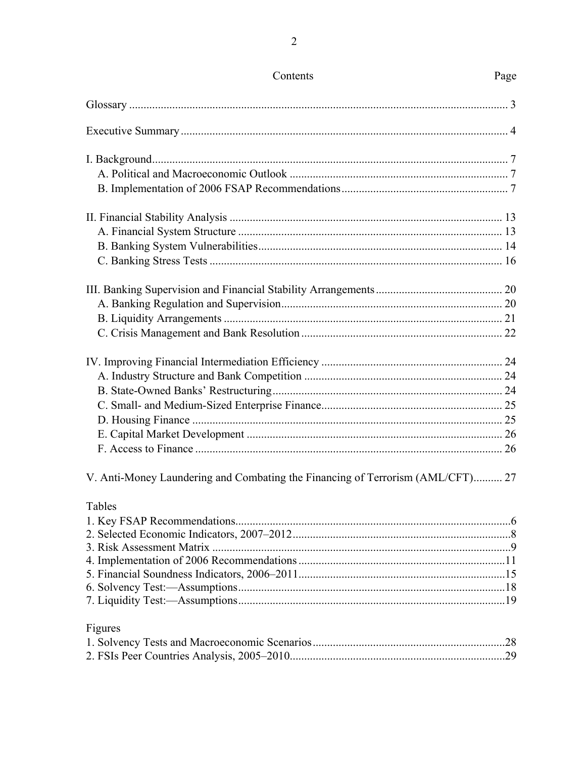| V. Anti-Money Laundering and Combating the Financing of Terrorism (AML/CFT) 27 |  |
|--------------------------------------------------------------------------------|--|
| Tables                                                                         |  |
|                                                                                |  |
|                                                                                |  |
|                                                                                |  |
|                                                                                |  |
|                                                                                |  |
|                                                                                |  |
| Figures                                                                        |  |
|                                                                                |  |
|                                                                                |  |
|                                                                                |  |

# Contents

# Page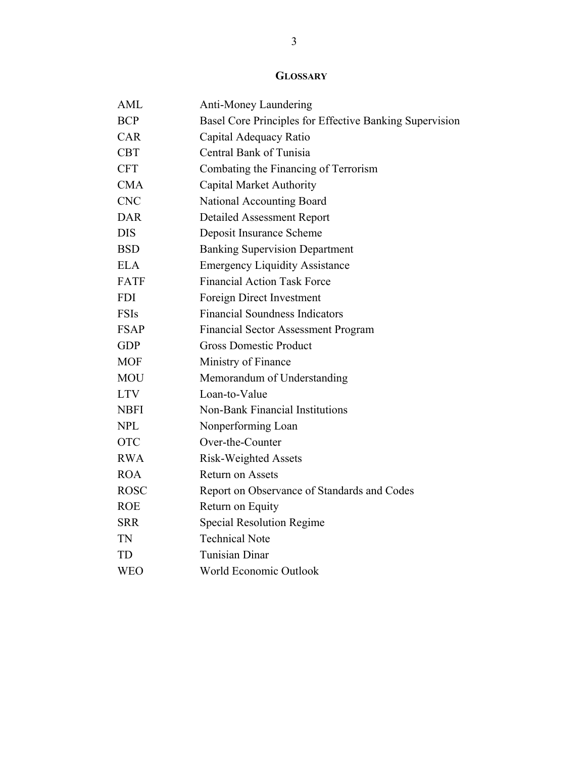# **GLOSSARY**

| <b>AML</b>  | Anti-Money Laundering                                   |
|-------------|---------------------------------------------------------|
| <b>BCP</b>  | Basel Core Principles for Effective Banking Supervision |
| <b>CAR</b>  | Capital Adequacy Ratio                                  |
| <b>CBT</b>  | Central Bank of Tunisia                                 |
| <b>CFT</b>  | Combating the Financing of Terrorism                    |
| <b>CMA</b>  | <b>Capital Market Authority</b>                         |
| <b>CNC</b>  | National Accounting Board                               |
| <b>DAR</b>  | <b>Detailed Assessment Report</b>                       |
| <b>DIS</b>  | Deposit Insurance Scheme                                |
| <b>BSD</b>  | <b>Banking Supervision Department</b>                   |
| <b>ELA</b>  | <b>Emergency Liquidity Assistance</b>                   |
| <b>FATF</b> | <b>Financial Action Task Force</b>                      |
| <b>FDI</b>  | Foreign Direct Investment                               |
| <b>FSIs</b> | <b>Financial Soundness Indicators</b>                   |
| <b>FSAP</b> | <b>Financial Sector Assessment Program</b>              |
| <b>GDP</b>  | <b>Gross Domestic Product</b>                           |
| <b>MOF</b>  | Ministry of Finance                                     |
| <b>MOU</b>  | Memorandum of Understanding                             |
| <b>LTV</b>  | Loan-to-Value                                           |
| <b>NBFI</b> | Non-Bank Financial Institutions                         |
| <b>NPL</b>  | Nonperforming Loan                                      |
| <b>OTC</b>  | Over-the-Counter                                        |
| <b>RWA</b>  | <b>Risk-Weighted Assets</b>                             |
| <b>ROA</b>  | Return on Assets                                        |
| <b>ROSC</b> | Report on Observance of Standards and Codes             |
| <b>ROE</b>  | Return on Equity                                        |
| <b>SRR</b>  | <b>Special Resolution Regime</b>                        |
| TN          | <b>Technical Note</b>                                   |
| <b>TD</b>   | <b>Tunisian Dinar</b>                                   |
| <b>WEO</b>  | World Economic Outlook                                  |
|             |                                                         |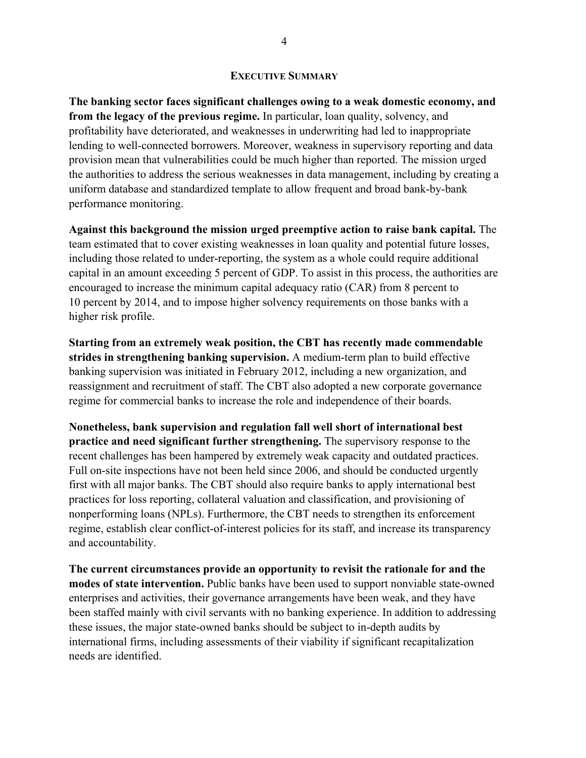#### **EXECUTIVE SUMMARY**

**The banking sector faces significant challenges owing to a weak domestic economy, and from the legacy of the previous regime.** In particular, loan quality, solvency, and profitability have deteriorated, and weaknesses in underwriting had led to inappropriate lending to well-connected borrowers. Moreover, weakness in supervisory reporting and data provision mean that vulnerabilities could be much higher than reported. The mission urged the authorities to address the serious weaknesses in data management, including by creating a uniform database and standardized template to allow frequent and broad bank-by-bank performance monitoring.

**Against this background the mission urged preemptive action to raise bank capital.** The team estimated that to cover existing weaknesses in loan quality and potential future losses, including those related to under-reporting, the system as a whole could require additional capital in an amount exceeding 5 percent of GDP. To assist in this process, the authorities are encouraged to increase the minimum capital adequacy ratio (CAR) from 8 percent to 10 percent by 2014, and to impose higher solvency requirements on those banks with a higher risk profile.

**Starting from an extremely weak position, the CBT has recently made commendable strides in strengthening banking supervision.** A medium-term plan to build effective banking supervision was initiated in February 2012, including a new organization, and reassignment and recruitment of staff. The CBT also adopted a new corporate governance regime for commercial banks to increase the role and independence of their boards.

**Nonetheless, bank supervision and regulation fall well short of international best practice and need significant further strengthening.** The supervisory response to the recent challenges has been hampered by extremely weak capacity and outdated practices. Full on-site inspections have not been held since 2006, and should be conducted urgently first with all major banks. The CBT should also require banks to apply international best practices for loss reporting, collateral valuation and classification, and provisioning of nonperforming loans (NPLs). Furthermore, the CBT needs to strengthen its enforcement regime, establish clear conflict-of-interest policies for its staff, and increase its transparency and accountability.

**The current circumstances provide an opportunity to revisit the rationale for and the modes of state intervention.** Public banks have been used to support nonviable state-owned enterprises and activities, their governance arrangements have been weak, and they have been staffed mainly with civil servants with no banking experience. In addition to addressing these issues, the major state-owned banks should be subject to in-depth audits by international firms, including assessments of their viability if significant recapitalization needs are identified.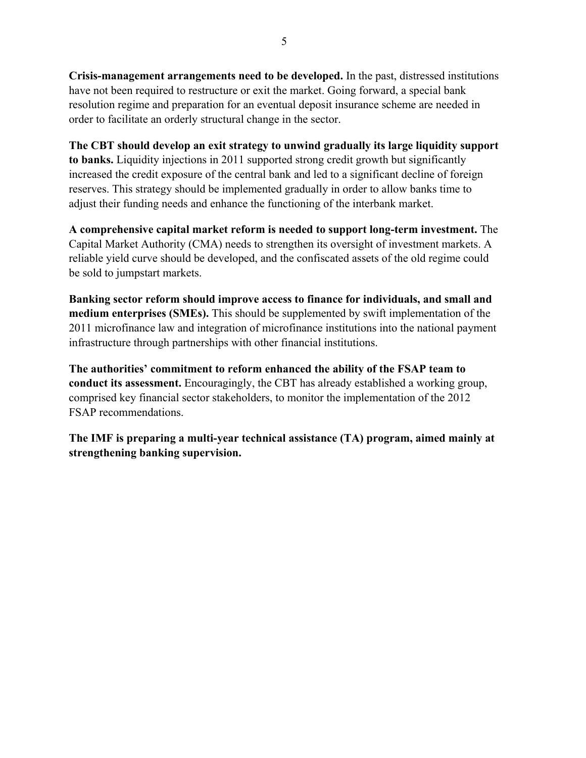**Crisis-management arrangements need to be developed.** In the past, distressed institutions have not been required to restructure or exit the market. Going forward, a special bank resolution regime and preparation for an eventual deposit insurance scheme are needed in order to facilitate an orderly structural change in the sector.

**The CBT should develop an exit strategy to unwind gradually its large liquidity support to banks.** Liquidity injections in 2011 supported strong credit growth but significantly increased the credit exposure of the central bank and led to a significant decline of foreign reserves. This strategy should be implemented gradually in order to allow banks time to adjust their funding needs and enhance the functioning of the interbank market.

**A comprehensive capital market reform is needed to support long-term investment.** The Capital Market Authority (CMA) needs to strengthen its oversight of investment markets. A reliable yield curve should be developed, and the confiscated assets of the old regime could be sold to jumpstart markets.

**Banking sector reform should improve access to finance for individuals, and small and medium enterprises (SMEs).** This should be supplemented by swift implementation of the 2011 microfinance law and integration of microfinance institutions into the national payment infrastructure through partnerships with other financial institutions.

**The authorities' commitment to reform enhanced the ability of the FSAP team to conduct its assessment.** Encouragingly, the CBT has already established a working group, comprised key financial sector stakeholders, to monitor the implementation of the 2012 FSAP recommendations.

**The IMF is preparing a multi-year technical assistance (TA) program, aimed mainly at strengthening banking supervision.**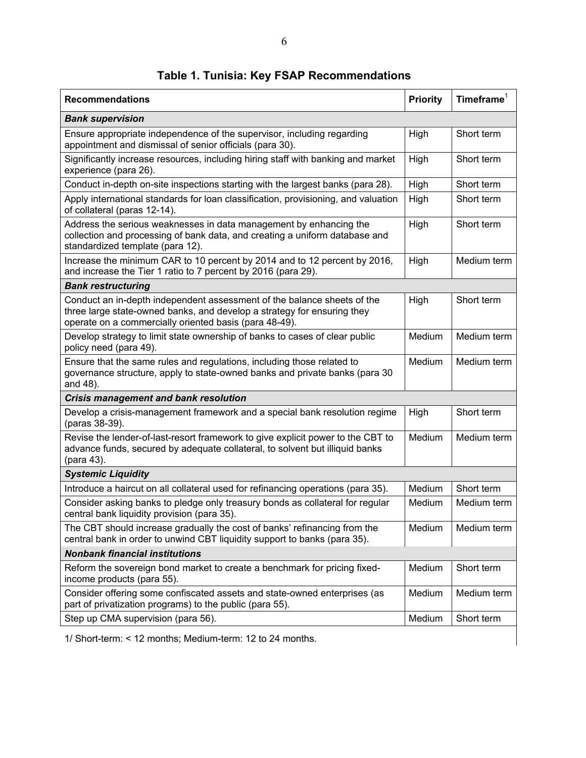| <b>Recommendations</b>                                                                                                                                                                                       | <b>Priority</b> | Time frame <sup>1</sup> |
|--------------------------------------------------------------------------------------------------------------------------------------------------------------------------------------------------------------|-----------------|-------------------------|
| <b>Bank supervision</b>                                                                                                                                                                                      |                 |                         |
| Ensure appropriate independence of the supervisor, including regarding<br>appointment and dismissal of senior officials (para 30).                                                                           | High            | Short term              |
| Significantly increase resources, including hiring staff with banking and market<br>experience (para 26).                                                                                                    | High            | Short term              |
| Conduct in-depth on-site inspections starting with the largest banks (para 28).                                                                                                                              | High            | Short term              |
| Apply international standards for loan classification, provisioning, and valuation<br>of collateral (paras 12-14).                                                                                           | High            | Short term              |
| Address the serious weaknesses in data management by enhancing the<br>collection and processing of bank data, and creating a uniform database and<br>standardized template (para 12).                        | High            | Short term              |
| Increase the minimum CAR to 10 percent by 2014 and to 12 percent by 2016,<br>and increase the Tier 1 ratio to 7 percent by 2016 (para 29).                                                                   | High            | Medium term             |
| <b>Bank restructuring</b>                                                                                                                                                                                    |                 |                         |
| Conduct an in-depth independent assessment of the balance sheets of the<br>three large state-owned banks, and develop a strategy for ensuring they<br>operate on a commercially oriented basis (para 48-49). | High            | Short term              |
| Develop strategy to limit state ownership of banks to cases of clear public<br>policy need (para 49).                                                                                                        | Medium          | Medium term             |
| Ensure that the same rules and regulations, including those related to<br>governance structure, apply to state-owned banks and private banks (para 30<br>and 48).                                            | Medium          | Medium term             |
| Crisis management and bank resolution                                                                                                                                                                        |                 |                         |
| Develop a crisis-management framework and a special bank resolution regime<br>(paras 38-39).                                                                                                                 | High            | Short term              |
| Revise the lender-of-last-resort framework to give explicit power to the CBT to<br>advance funds, secured by adequate collateral, to solvent but illiquid banks<br>(para 43).                                | Medium          | Medium term             |
| <b>Systemic Liquidity</b>                                                                                                                                                                                    |                 |                         |
| Introduce a haircut on all collateral used for refinancing operations (para 35).                                                                                                                             | Medium          | Short term              |
| Consider asking banks to pledge only treasury bonds as collateral for regular<br>central bank liquidity provision (para 35).                                                                                 | Medium          | Medium term             |
| The CBT should increase gradually the cost of banks' refinancing from the<br>central bank in order to unwind CBT liquidity support to banks (para 35).                                                       | Medium          | Medium term             |
| <b>Nonbank financial institutions</b>                                                                                                                                                                        |                 |                         |
| Reform the sovereign bond market to create a benchmark for pricing fixed-<br>income products (para 55).                                                                                                      | Medium          | Short term              |
| Consider offering some confiscated assets and state-owned enterprises (as<br>part of privatization programs) to the public (para 55).                                                                        | Medium          | Medium term             |
| Step up CMA supervision (para 56).                                                                                                                                                                           | Medium          | Short term              |

**Table 1. Tunisia: Key FSAP Recommendations** 

1/ Short-term: < 12 months; Medium-term: 12 to 24 months.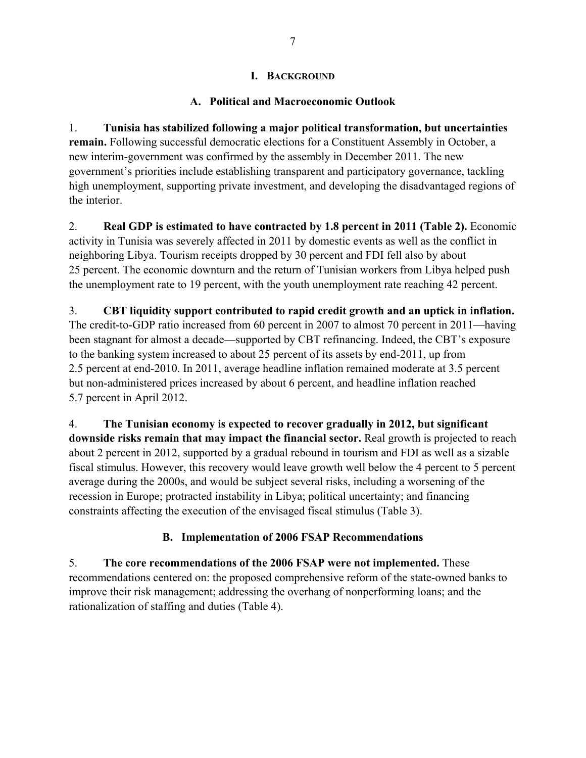## **I. BACKGROUND**

## **A. Political and Macroeconomic Outlook**

1. **Tunisia has stabilized following a major political transformation, but uncertainties remain.** Following successful democratic elections for a Constituent Assembly in October, a new interim-government was confirmed by the assembly in December 2011. The new government's priorities include establishing transparent and participatory governance, tackling high unemployment, supporting private investment, and developing the disadvantaged regions of the interior.

2. **Real GDP is estimated to have contracted by 1.8 percent in 2011 (Table 2).** Economic activity in Tunisia was severely affected in 2011 by domestic events as well as the conflict in neighboring Libya. Tourism receipts dropped by 30 percent and FDI fell also by about 25 percent. The economic downturn and the return of Tunisian workers from Libya helped push the unemployment rate to 19 percent, with the youth unemployment rate reaching 42 percent.

3. **CBT liquidity support contributed to rapid credit growth and an uptick in inflation.** The credit-to-GDP ratio increased from 60 percent in 2007 to almost 70 percent in 2011—having been stagnant for almost a decade—supported by CBT refinancing. Indeed, the CBT's exposure to the banking system increased to about 25 percent of its assets by end-2011, up from 2.5 percent at end-2010. In 2011, average headline inflation remained moderate at 3.5 percent but non-administered prices increased by about 6 percent, and headline inflation reached 5.7 percent in April 2012.

4. **The Tunisian economy is expected to recover gradually in 2012, but significant downside risks remain that may impact the financial sector.** Real growth is projected to reach about 2 percent in 2012, supported by a gradual rebound in tourism and FDI as well as a sizable fiscal stimulus. However, this recovery would leave growth well below the 4 percent to 5 percent average during the 2000s, and would be subject several risks, including a worsening of the recession in Europe; protracted instability in Libya; political uncertainty; and financing constraints affecting the execution of the envisaged fiscal stimulus (Table 3).

# **B. Implementation of 2006 FSAP Recommendations**

5. **The core recommendations of the 2006 FSAP were not implemented.** These recommendations centered on: the proposed comprehensive reform of the state-owned banks to improve their risk management; addressing the overhang of nonperforming loans; and the rationalization of staffing and duties (Table 4).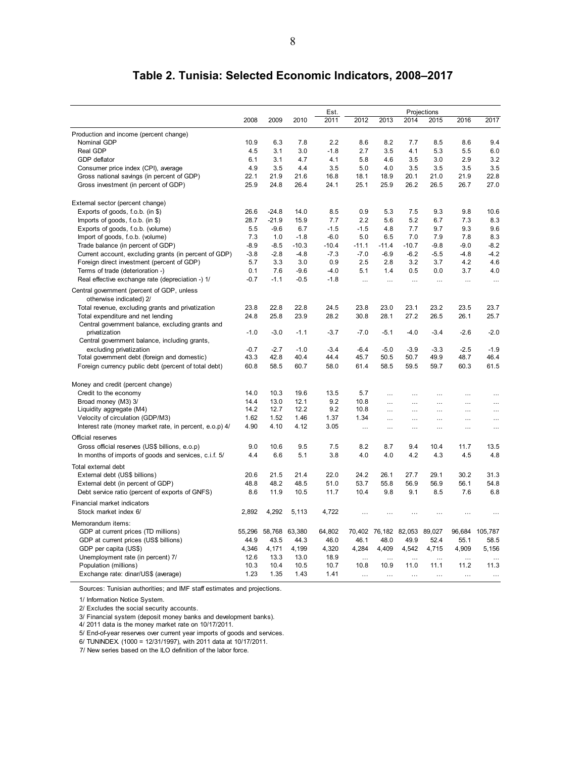|                                                                       |        |         |               | Est.    | Projections |           |                             |           |          |                |
|-----------------------------------------------------------------------|--------|---------|---------------|---------|-------------|-----------|-----------------------------|-----------|----------|----------------|
|                                                                       | 2008   | 2009    | 2010          | 2011    | 2012        | 2013      | 2014                        | 2015      | 2016     | 2017           |
| Production and income (percent change)                                |        |         |               |         |             |           |                             |           |          |                |
| Nominal GDP                                                           | 10.9   | 6.3     | 7.8           | 2.2     | 8.6         | 8.2       | 7.7                         | 8.5       | 8.6      | 9.4            |
| Real GDP                                                              | 4.5    | 3.1     | 3.0           | $-1.8$  | 2.7         | 3.5       | 4.1                         | 5.3       | 5.5      | 6.0            |
| GDP deflator                                                          | 6.1    | 3.1     | 4.7           | 4.1     | 5.8         | 4.6       | 3.5                         | 3.0       | 2.9      | 3.2            |
| Consumer price index (CPI), average                                   | 4.9    | 3.5     | 4.4           | 3.5     | 5.0         | 4.0       | 3.5                         | 3.5       | 3.5      | 3.5            |
| Gross national savings (in percent of GDP)                            | 22.1   | 21.9    | 21.6          | 16.8    | 18.1        | 18.9      | 20.1                        | 21.0      | 21.9     | 22.8           |
| Gross investment (in percent of GDP)                                  | 25.9   | 24.8    | 26.4          | 24.1    | 25.1        | 25.9      | 26.2                        | 26.5      | 26.7     | 27.0           |
| External sector (percent change)                                      |        |         |               |         |             |           |                             |           |          |                |
| Exports of goods, f.o.b. (in \$)                                      | 26.6   | $-24.8$ | 14.0          | 8.5     | 0.9         | 5.3       | 7.5                         | 9.3       | 9.8      | 10.6           |
| Imports of goods, $f.o.b.$ (in \$)                                    | 28.7   | $-21.9$ | 15.9          | 7.7     | 2.2         | 5.6       | 5.2                         | 6.7       | 7.3      | 8.3            |
| Exports of goods, f.o.b. (volume)                                     | 5.5    | $-9.6$  | 6.7           | $-1.5$  | $-1.5$      | 4.8       | 7.7                         | 9.7       | 9.3      | 9.6            |
| Import of goods, f.o.b. (volume)                                      | 7.3    | 1.0     | $-1.8$        | $-6.0$  | 5.0         | 6.5       | 7.0                         | 7.9       | 7.8      | 8.3            |
| Trade balance (in percent of GDP)                                     | $-8.9$ | $-8.5$  | $-10.3$       | $-10.4$ | $-11.1$     | $-11.4$   | $-10.7$                     | $-9.8$    | $-9.0$   | $-8.2$         |
| Current account, excluding grants (in percent of GDP)                 | $-3.8$ | $-2.8$  | $-4.8$        | $-7.3$  | $-7.0$      | $-6.9$    | $-6.2$                      | $-5.5$    | $-4.8$   | $-4.2$         |
| Foreign direct investment (percent of GDP)                            | 5.7    | 3.3     | 3.0           | 0.9     | 2.5         | 2.8       | 3.2                         | 3.7       | 4.2      | 4.6            |
| Terms of trade (deterioration -)                                      | 0.1    | 7.6     | -9.6          | $-4.0$  | 5.1         | 1.4       | 0.5                         | 0.0       | 3.7      | 4.0            |
| Real effective exchange rate (depreciation -) 1/                      | $-0.7$ | $-1.1$  | $-0.5$        | $-1.8$  | $\cdots$    | $\cdots$  | $\cdots$                    | $\ddotsc$ | $\cdots$ | $\ldots$       |
| Central government (percent of GDP, unless<br>otherwise indicated) 2/ |        |         |               |         |             |           |                             |           |          |                |
| Total revenue, excluding grants and privatization                     | 23.8   | 22.8    | 22.8          | 24.5    | 23.8        | 23.0      | 23.1                        | 23.2      | 23.5     | 23.7           |
| Total expenditure and net lending                                     | 24.8   | 25.8    | 23.9          | 28.2    | 30.8        | 28.1      | 27.2                        | 26.5      | 26.1     | 25.7           |
| Central government balance, excluding grants and                      |        |         |               |         |             |           |                             |           |          |                |
| privatization                                                         | $-1.0$ | $-3.0$  | $-1.1$        | $-3.7$  | $-7.0$      | $-5.1$    | $-4.0$                      | $-3.4$    | $-2.6$   | $-2.0$         |
| Central government balance, including grants,                         |        |         |               |         |             |           |                             |           |          |                |
| excluding privatization                                               | $-0.7$ | $-2.7$  | $-1.0$        | $-3.4$  | $-6.4$      | $-5.0$    | $-3.9$                      | $-3.3$    | $-2.5$   | $-1.9$         |
| Total government debt (foreign and domestic)                          | 43.3   | 42.8    | 40.4          | 44.4    | 45.7        | 50.5      | 50.7                        | 49.9      | 48.7     | 46.4           |
| Foreign currency public debt (percent of total debt)                  | 60.8   | 58.5    | 60.7          | 58.0    | 61.4        | 58.5      | 59.5                        | 59.7      | 60.3     | 61.5           |
| Money and credit (percent change)                                     |        |         |               |         |             |           |                             |           |          |                |
| Credit to the economy                                                 | 14.0   | 10.3    | 19.6          | 13.5    | 5.7         | $\ddotsc$ | $\ddotsc$                   | $\ddotsc$ |          | $\ddotsc$      |
| Broad money (M3) 3/                                                   | 14.4   | 13.0    | 12.1          | 9.2     | 10.8        | $\ddotsc$ | $\ddotsc$                   | $\cdots$  | $\cdots$ | $\ddotsc$      |
| Liquidity aggregate (M4)                                              | 14.2   | 12.7    | 12.2          | 9.2     | 10.8        | $\cdots$  | $\cdots$                    | .         | $\cdots$ | $\ldots$       |
| Velocity of circulation (GDP/M3)                                      | 1.62   | 1.52    | 1.46          | 1.37    | 1.34        |           | $\cdots$                    | .         | .        | $\cdots$       |
| Interest rate (money market rate, in percent, e.o.p) 4/               | 4.90   | 4.10    | 4.12          | 3.05    | $\cdots$    | $\cdots$  | $\cdots$                    | $\cdots$  | .        | $\cdots$       |
| Official reserves                                                     |        |         |               |         |             |           |                             |           |          |                |
| Gross official reserves (US\$ billions, e.o.p)                        | 9.0    | 10.6    | 9.5           | 7.5     | 8.2         | 8.7       | 9.4                         | 10.4      | 11.7     | 13.5           |
| In months of imports of goods and services, c.i.f. 5/                 | 4.4    | 6.6     | 5.1           | 3.8     | 4.0         | 4.0       | 4.2                         | 4.3       | 4.5      | 4.8            |
| Total external debt                                                   |        |         |               |         |             |           |                             |           |          |                |
| External debt (US\$ billions)                                         | 20.6   | 21.5    | 21.4          | 22.0    | 24.2        | 26.1      | 27.7                        | 29.1      | 30.2     | 31.3           |
| External debt (in percent of GDP)                                     | 48.8   | 48.2    | 48.5          | 51.0    | 53.7        | 55.8      | 56.9                        | 56.9      | 56.1     | 54.8           |
| Debt service ratio (percent of exports of GNFS)                       | 8.6    | 11.9    | 10.5          | 11.7    | 10.4        | 9.8       | 9.1                         | 8.5       | 7.6      | 6.8            |
| Financial market indicators                                           |        |         |               |         |             |           |                             |           |          |                |
| Stock market index 6/                                                 | 2,892  | 4,292   | 5,113         | 4,722   | $\ddotsc$   | $\cdots$  | $\ddotsc$                   |           |          |                |
| Memorandum items:                                                     |        |         |               |         |             |           |                             |           |          |                |
| GDP at current prices (TD millions)                                   | 55,296 |         | 58,768 63,380 | 64,802  |             |           | 70,402 76,182 82,053 89,027 |           |          | 96,684 105,787 |
| GDP at current prices (US\$ billions)                                 | 44.9   | 43.5    | 44.3          | 46.0    | 46.1        | 48.0      | 49.9                        | 52.4      | 55.1     | 58.5           |
| GDP per capita (US\$)                                                 | 4,346  | 4,171   | 4,199         | 4,320   | 4,284       | 4,409     | 4,542                       | 4,715     | 4,909    | 5,156          |
| Unemployment rate (in percent) 7/                                     | 12.6   | 13.3    | 13.0          | 18.9    | $\cdots$    | .         | $\cdots$                    | $\cdots$  | .        | $\cdots$       |
| Population (millions)                                                 | 10.3   | 10.4    | 10.5          | 10.7    | 10.8        | 10.9      | 11.0                        | 11.1      | 11.2     | 11.3           |
| Exchange rate: dinar/US\$ (average)                                   | 1.23   | 1.35    | 1.43          | 1.41    | $\cdots$    | $\cdots$  | $\cdots$                    | $\cdots$  | $\cdots$ | $\ddotsc$      |

# **Table 2. Tunisia: Selected Economic Indicators, 2008–2017**

Sources: Tunisian authorities; and IMF staff estimates and projections.

1/ Information Notice System.

2/ Excludes the social security accounts.

3/ Financial system (deposit money banks and development banks).

4/ 2011 data is the money market rate on 10/17/2011.

5/ End-of-year reserves over current year imports of goods and services.

6/ TUNINDEX. (1000 = 12/31/1997), with 2011 data at 10/17/2011.

7/ New series based on the ILO definition of the labor force.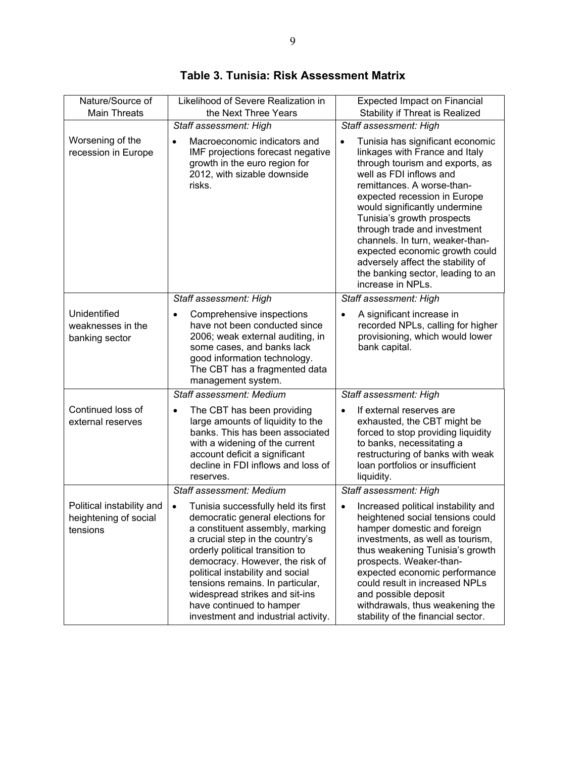| Nature/Source of                                               | Likelihood of Severe Realization in                                                                                                                                                                                                                                                                                                                                                                           | <b>Expected Impact on Financial</b>                                                                                                                                                                                                                                                                                                                                                                                                                                                         |
|----------------------------------------------------------------|---------------------------------------------------------------------------------------------------------------------------------------------------------------------------------------------------------------------------------------------------------------------------------------------------------------------------------------------------------------------------------------------------------------|---------------------------------------------------------------------------------------------------------------------------------------------------------------------------------------------------------------------------------------------------------------------------------------------------------------------------------------------------------------------------------------------------------------------------------------------------------------------------------------------|
| <b>Main Threats</b>                                            | the Next Three Years                                                                                                                                                                                                                                                                                                                                                                                          | Stability if Threat is Realized                                                                                                                                                                                                                                                                                                                                                                                                                                                             |
| Worsening of the<br>recession in Europe                        | Staff assessment: High<br>Macroeconomic indicators and<br>$\bullet$<br>IMF projections forecast negative<br>growth in the euro region for<br>2012, with sizable downside<br>risks.                                                                                                                                                                                                                            | Staff assessment: High<br>Tunisia has significant economic<br>linkages with France and Italy<br>through tourism and exports, as<br>well as FDI inflows and<br>remittances. A worse-than-<br>expected recession in Europe<br>would significantly undermine<br>Tunisia's growth prospects<br>through trade and investment<br>channels. In turn, weaker-than-<br>expected economic growth could<br>adversely affect the stability of<br>the banking sector, leading to an<br>increase in NPLs. |
|                                                                | Staff assessment: High                                                                                                                                                                                                                                                                                                                                                                                        | Staff assessment: High                                                                                                                                                                                                                                                                                                                                                                                                                                                                      |
| Unidentified<br>weaknesses in the<br>banking sector            | Comprehensive inspections<br>$\bullet$<br>have not been conducted since<br>2006; weak external auditing, in<br>some cases, and banks lack<br>good information technology.<br>The CBT has a fragmented data<br>management system.                                                                                                                                                                              | A significant increase in<br>$\bullet$<br>recorded NPLs, calling for higher<br>provisioning, which would lower<br>bank capital.                                                                                                                                                                                                                                                                                                                                                             |
|                                                                | Staff assessment: Medium                                                                                                                                                                                                                                                                                                                                                                                      | Staff assessment: High                                                                                                                                                                                                                                                                                                                                                                                                                                                                      |
| Continued loss of<br>external reserves                         | The CBT has been providing<br>large amounts of liquidity to the<br>banks. This has been associated<br>with a widening of the current<br>account deficit a significant<br>decline in FDI inflows and loss of<br>reserves.                                                                                                                                                                                      | If external reserves are<br>$\bullet$<br>exhausted, the CBT might be<br>forced to stop providing liquidity<br>to banks, necessitating a<br>restructuring of banks with weak<br>loan portfolios or insufficient<br>liquidity.                                                                                                                                                                                                                                                                |
|                                                                | Staff assessment: Medium                                                                                                                                                                                                                                                                                                                                                                                      | Staff assessment: High                                                                                                                                                                                                                                                                                                                                                                                                                                                                      |
| Political instability and<br>heightening of social<br>tensions | Tunisia successfully held its first<br>$\bullet$<br>democratic general elections for<br>a constituent assembly, marking<br>a crucial step in the country's<br>orderly political transition to<br>democracy. However, the risk of<br>political instability and social<br>tensions remains. In particular,<br>widespread strikes and sit-ins<br>have continued to hamper<br>investment and industrial activity. | Increased political instability and<br>$\bullet$<br>heightened social tensions could<br>hamper domestic and foreign<br>investments, as well as tourism,<br>thus weakening Tunisia's growth<br>prospects. Weaker-than-<br>expected economic performance<br>could result in increased NPLs<br>and possible deposit<br>withdrawals, thus weakening the<br>stability of the financial sector.                                                                                                   |

**Table 3. Tunisia: Risk Assessment Matrix**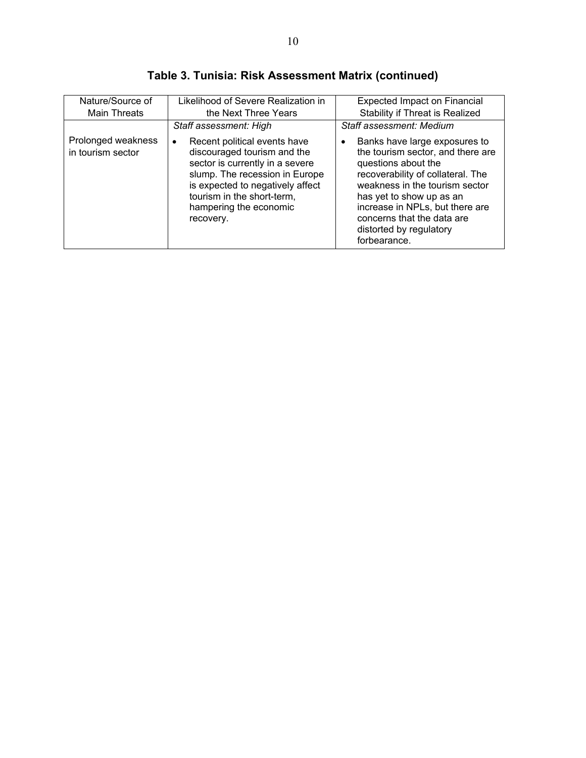| Nature/Source of                        | Likelihood of Severe Realization in                                                                                                                                                                                                            | <b>Expected Impact on Financial</b>                                                                                                                                                                                                                                                                                   |
|-----------------------------------------|------------------------------------------------------------------------------------------------------------------------------------------------------------------------------------------------------------------------------------------------|-----------------------------------------------------------------------------------------------------------------------------------------------------------------------------------------------------------------------------------------------------------------------------------------------------------------------|
| <b>Main Threats</b>                     | the Next Three Years                                                                                                                                                                                                                           | <b>Stability if Threat is Realized</b>                                                                                                                                                                                                                                                                                |
|                                         | Staff assessment: High                                                                                                                                                                                                                         | Staff assessment: Medium                                                                                                                                                                                                                                                                                              |
| Prolonged weakness<br>in tourism sector | Recent political events have<br>٠<br>discouraged tourism and the<br>sector is currently in a severe<br>slump. The recession in Europe<br>is expected to negatively affect<br>tourism in the short-term,<br>hampering the economic<br>recovery. | Banks have large exposures to<br>$\bullet$<br>the tourism sector, and there are<br>questions about the<br>recoverability of collateral. The<br>weakness in the tourism sector<br>has yet to show up as an<br>increase in NPLs, but there are<br>concerns that the data are<br>distorted by regulatory<br>forbearance. |

**Table 3. Tunisia: Risk Assessment Matrix (continued)**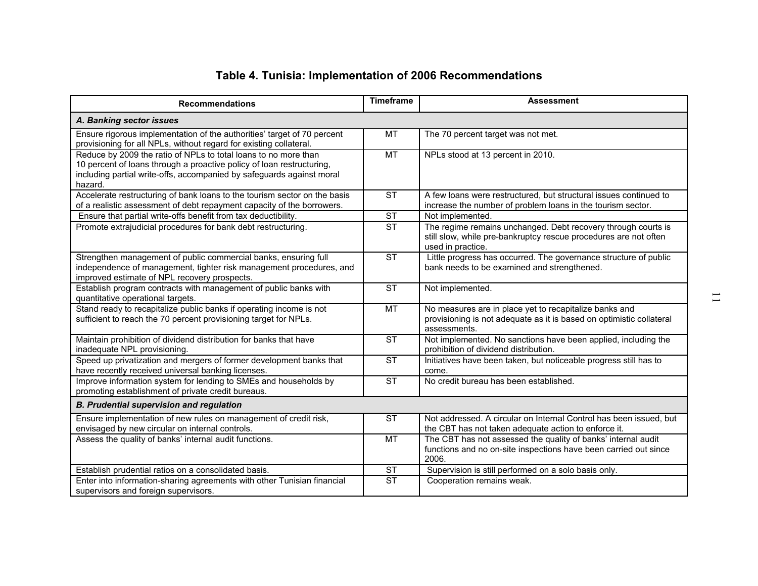| Table 4. Tunisia: Implementation of 2006 Recommendations<br><b>Recommendations</b>                                                                                                                                           | <b>Timeframe</b>       | <b>Assessment</b>                                                                                                                                      |
|------------------------------------------------------------------------------------------------------------------------------------------------------------------------------------------------------------------------------|------------------------|--------------------------------------------------------------------------------------------------------------------------------------------------------|
| A. Banking sector issues                                                                                                                                                                                                     |                        |                                                                                                                                                        |
| Ensure rigorous implementation of the authorities' target of 70 percent<br>provisioning for all NPLs, without regard for existing collateral.                                                                                | МT                     | The 70 percent target was not met.                                                                                                                     |
| Reduce by 2009 the ratio of NPLs to total loans to no more than<br>10 percent of loans through a proactive policy of loan restructuring,<br>including partial write-offs, accompanied by safeguards against moral<br>hazard. | $\overline{MT}$        | NPLs stood at 13 percent in 2010.                                                                                                                      |
| Accelerate restructuring of bank loans to the tourism sector on the basis<br>of a realistic assessment of debt repayment capacity of the borrowers.                                                                          | <b>ST</b>              | A few loans were restructured, but structural issues continued to<br>increase the number of problem loans in the tourism sector.                       |
| Ensure that partial write-offs benefit from tax deductibility.                                                                                                                                                               | ST                     | Not implemented.                                                                                                                                       |
| Promote extrajudicial procedures for bank debt restructuring.                                                                                                                                                                | $\overline{\text{ST}}$ | The regime remains unchanged. Debt recovery through courts is<br>still slow, while pre-bankruptcy rescue procedures are not often<br>used in practice. |
| Strengthen management of public commercial banks, ensuring full<br>independence of management, tighter risk management procedures, and<br>improved estimate of NPL recovery prospects.                                       | <b>ST</b>              | Little progress has occurred. The governance structure of public<br>bank needs to be examined and strengthened.                                        |
| Establish program contracts with management of public banks with<br>quantitative operational targets.                                                                                                                        | <b>ST</b>              | Not implemented.                                                                                                                                       |
| Stand ready to recapitalize public banks if operating income is not<br>sufficient to reach the 70 percent provisioning target for NPLs.                                                                                      | MT                     | No measures are in place yet to recapitalize banks and<br>provisioning is not adequate as it is based on optimistic collateral<br>assessments.         |
| Maintain prohibition of dividend distribution for banks that have<br>inadequate NPL provisioning.                                                                                                                            | <b>ST</b>              | Not implemented. No sanctions have been applied, including the<br>prohibition of dividend distribution.                                                |
| Speed up privatization and mergers of former development banks that<br>have recently received universal banking licenses.                                                                                                    | ST                     | Initiatives have been taken, but noticeable progress still has to<br>come.                                                                             |
| Improve information system for lending to SMEs and households by<br>promoting establishment of private credit bureaus.                                                                                                       | ST                     | No credit bureau has been established.                                                                                                                 |
| <b>B. Prudential supervision and regulation</b>                                                                                                                                                                              |                        |                                                                                                                                                        |
| Ensure implementation of new rules on management of credit risk,<br>envisaged by new circular on internal controls.                                                                                                          | ST                     | Not addressed. A circular on Internal Control has been issued, but<br>the CBT has not taken adequate action to enforce it.                             |
| Assess the quality of banks' internal audit functions.                                                                                                                                                                       | MT                     | The CBT has not assessed the quality of banks' internal audit<br>functions and no on-site inspections have been carried out since<br>2006.             |
| Establish prudential ratios on a consolidated basis.                                                                                                                                                                         | <b>ST</b>              | Supervision is still performed on a solo basis only.                                                                                                   |
| Enter into information-sharing agreements with other Tunisian financial<br>supervisors and foreign supervisors.                                                                                                              | <b>ST</b>              | Cooperation remains weak.                                                                                                                              |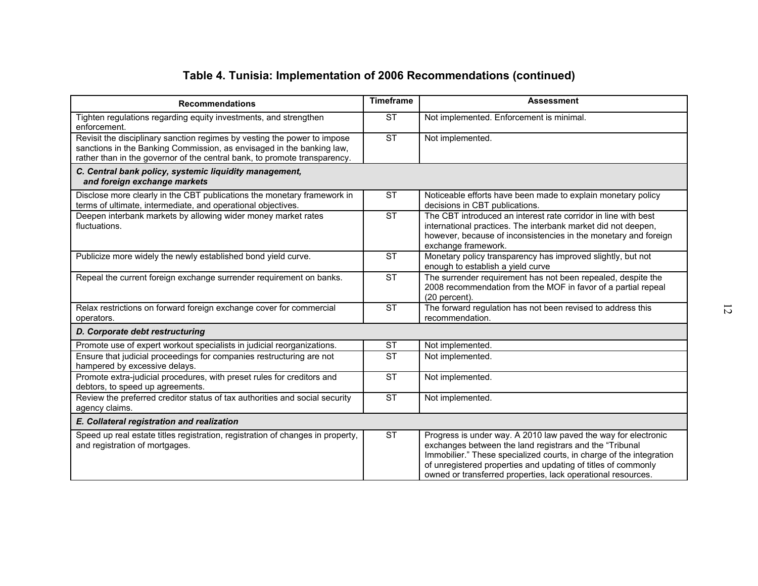| <b>Recommendations</b>                                                                                                                                                                                                         | <b>Timeframe</b>       | <b>Assessment</b>                                                                                                                                                                                                                                                                                                                 |
|--------------------------------------------------------------------------------------------------------------------------------------------------------------------------------------------------------------------------------|------------------------|-----------------------------------------------------------------------------------------------------------------------------------------------------------------------------------------------------------------------------------------------------------------------------------------------------------------------------------|
| Tighten regulations regarding equity investments, and strengthen<br>enforcement.                                                                                                                                               | <b>ST</b>              | Not implemented. Enforcement is minimal.                                                                                                                                                                                                                                                                                          |
| Revisit the disciplinary sanction regimes by vesting the power to impose<br>sanctions in the Banking Commission, as envisaged in the banking law,<br>rather than in the governor of the central bank, to promote transparency. | $\overline{\text{ST}}$ | Not implemented.                                                                                                                                                                                                                                                                                                                  |
| C. Central bank policy, systemic liquidity management,<br>and foreign exchange markets                                                                                                                                         |                        |                                                                                                                                                                                                                                                                                                                                   |
| Disclose more clearly in the CBT publications the monetary framework in<br>terms of ultimate, intermediate, and operational objectives.                                                                                        | $\overline{\text{ST}}$ | Noticeable efforts have been made to explain monetary policy<br>decisions in CBT publications.                                                                                                                                                                                                                                    |
| Deepen interbank markets by allowing wider money market rates<br>fluctuations.                                                                                                                                                 | $\overline{\text{ST}}$ | The CBT introduced an interest rate corridor in line with best<br>international practices. The interbank market did not deepen,<br>however, because of inconsistencies in the monetary and foreign<br>exchange framework.                                                                                                         |
| Publicize more widely the newly established bond yield curve.                                                                                                                                                                  | $\overline{\text{ST}}$ | Monetary policy transparency has improved slightly, but not<br>enough to establish a yield curve                                                                                                                                                                                                                                  |
| Repeal the current foreign exchange surrender requirement on banks.                                                                                                                                                            | $\overline{\text{ST}}$ | The surrender requirement has not been repealed, despite the<br>2008 recommendation from the MOF in favor of a partial repeal<br>(20 percent).                                                                                                                                                                                    |
| Relax restrictions on forward foreign exchange cover for commercial<br>operators.                                                                                                                                              | $\overline{\text{ST}}$ | The forward regulation has not been revised to address this<br>recommendation.                                                                                                                                                                                                                                                    |
| D. Corporate debt restructuring                                                                                                                                                                                                |                        |                                                                                                                                                                                                                                                                                                                                   |
| Promote use of expert workout specialists in judicial reorganizations.                                                                                                                                                         | <b>ST</b>              | Not implemented.                                                                                                                                                                                                                                                                                                                  |
| Ensure that judicial proceedings for companies restructuring are not<br>hampered by excessive delays.                                                                                                                          | $\overline{\text{ST}}$ | Not implemented.                                                                                                                                                                                                                                                                                                                  |
| Promote extra-judicial procedures, with preset rules for creditors and<br>debtors, to speed up agreements.                                                                                                                     | $\overline{\text{ST}}$ | Not implemented.                                                                                                                                                                                                                                                                                                                  |
| Review the preferred creditor status of tax authorities and social security<br>agency claims.                                                                                                                                  | $\overline{\text{ST}}$ | Not implemented.                                                                                                                                                                                                                                                                                                                  |
| E. Collateral registration and realization                                                                                                                                                                                     |                        |                                                                                                                                                                                                                                                                                                                                   |
| Speed up real estate titles registration, registration of changes in property,<br>and registration of mortgages.                                                                                                               | $\overline{\text{ST}}$ | Progress is under way. A 2010 law paved the way for electronic<br>exchanges between the land registrars and the "Tribunal<br>Immobilier." These specialized courts, in charge of the integration<br>of unregistered properties and updating of titles of commonly<br>owned or transferred properties, lack operational resources. |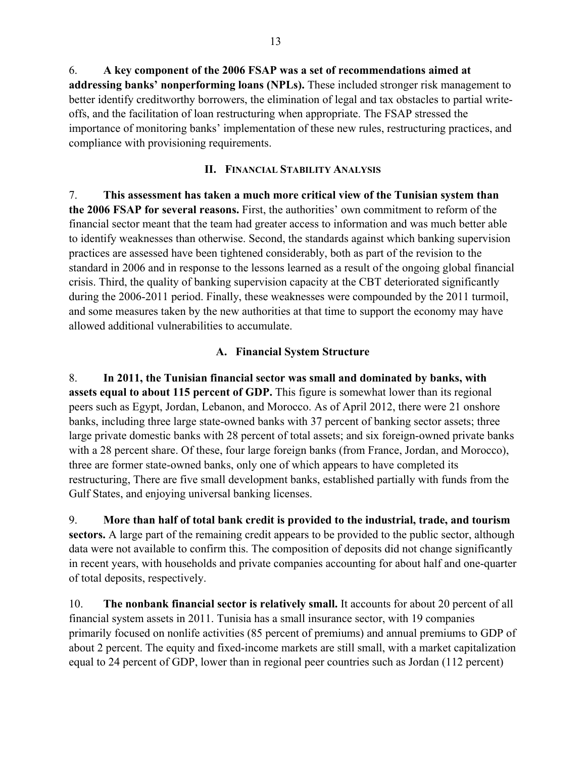6. **A key component of the 2006 FSAP was a set of recommendations aimed at addressing banks' nonperforming loans (NPLs).** These included stronger risk management to better identify creditworthy borrowers, the elimination of legal and tax obstacles to partial writeoffs, and the facilitation of loan restructuring when appropriate. The FSAP stressed the importance of monitoring banks' implementation of these new rules, restructuring practices, and compliance with provisioning requirements.

## **II. FINANCIAL STABILITY ANALYSIS**

7. **This assessment has taken a much more critical view of the Tunisian system than the 2006 FSAP for several reasons.** First, the authorities' own commitment to reform of the financial sector meant that the team had greater access to information and was much better able to identify weaknesses than otherwise. Second, the standards against which banking supervision practices are assessed have been tightened considerably, both as part of the revision to the standard in 2006 and in response to the lessons learned as a result of the ongoing global financial crisis. Third, the quality of banking supervision capacity at the CBT deteriorated significantly during the 2006-2011 period. Finally, these weaknesses were compounded by the 2011 turmoil, and some measures taken by the new authorities at that time to support the economy may have allowed additional vulnerabilities to accumulate.

## **A. Financial System Structure**

8. **In 2011, the Tunisian financial sector was small and dominated by banks, with assets equal to about 115 percent of GDP.** This figure is somewhat lower than its regional peers such as Egypt, Jordan, Lebanon, and Morocco. As of April 2012, there were 21 onshore banks, including three large state-owned banks with 37 percent of banking sector assets; three large private domestic banks with 28 percent of total assets; and six foreign-owned private banks with a 28 percent share. Of these, four large foreign banks (from France, Jordan, and Morocco), three are former state-owned banks, only one of which appears to have completed its restructuring, There are five small development banks, established partially with funds from the Gulf States, and enjoying universal banking licenses.

9. **More than half of total bank credit is provided to the industrial, trade, and tourism sectors.** A large part of the remaining credit appears to be provided to the public sector, although data were not available to confirm this. The composition of deposits did not change significantly in recent years, with households and private companies accounting for about half and one-quarter of total deposits, respectively.

10. **The nonbank financial sector is relatively small.** It accounts for about 20 percent of all financial system assets in 2011. Tunisia has a small insurance sector, with 19 companies primarily focused on nonlife activities (85 percent of premiums) and annual premiums to GDP of about 2 percent. The equity and fixed-income markets are still small, with a market capitalization equal to 24 percent of GDP, lower than in regional peer countries such as Jordan (112 percent)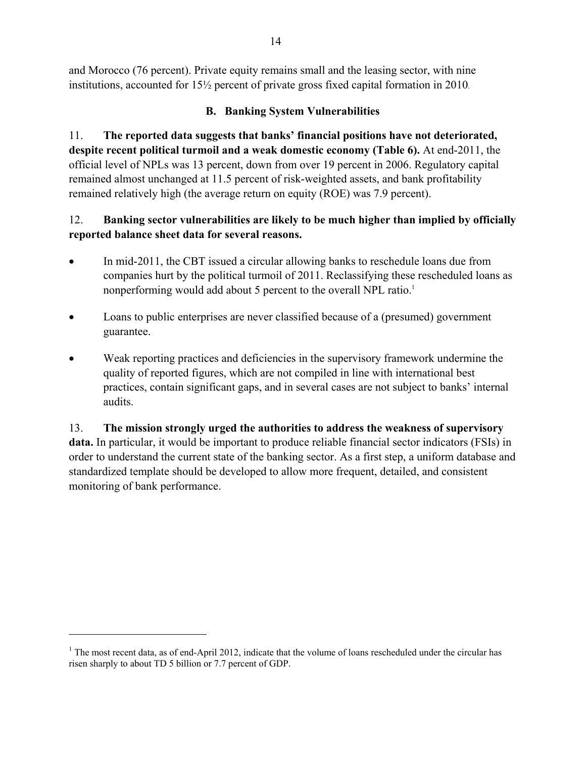and Morocco (76 percent). Private equity remains small and the leasing sector, with nine institutions, accounted for 15½ percent of private gross fixed capital formation in 2010.

# **B. Banking System Vulnerabilities**

11. **The reported data suggests that banks' financial positions have not deteriorated, despite recent political turmoil and a weak domestic economy (Table 6).** At end-2011, the official level of NPLs was 13 percent, down from over 19 percent in 2006. Regulatory capital remained almost unchanged at 11.5 percent of risk-weighted assets, and bank profitability remained relatively high (the average return on equity (ROE) was 7.9 percent).

# 12. **Banking sector vulnerabilities are likely to be much higher than implied by officially reported balance sheet data for several reasons.**

- In mid-2011, the CBT issued a circular allowing banks to reschedule loans due from companies hurt by the political turmoil of 2011. Reclassifying these rescheduled loans as nonperforming would add about 5 percent to the overall NPL ratio.<sup>1</sup>
- Loans to public enterprises are never classified because of a (presumed) government guarantee.
- Weak reporting practices and deficiencies in the supervisory framework undermine the quality of reported figures, which are not compiled in line with international best practices, contain significant gaps, and in several cases are not subject to banks' internal audits.

13. **The mission strongly urged the authorities to address the weakness of supervisory data.** In particular, it would be important to produce reliable financial sector indicators (FSIs) in order to understand the current state of the banking sector. As a first step, a uniform database and standardized template should be developed to allow more frequent, detailed, and consistent monitoring of bank performance.

 $\overline{a}$ 

<sup>&</sup>lt;sup>1</sup> The most recent data, as of end-April 2012, indicate that the volume of loans rescheduled under the circular has risen sharply to about TD 5 billion or 7.7 percent of GDP.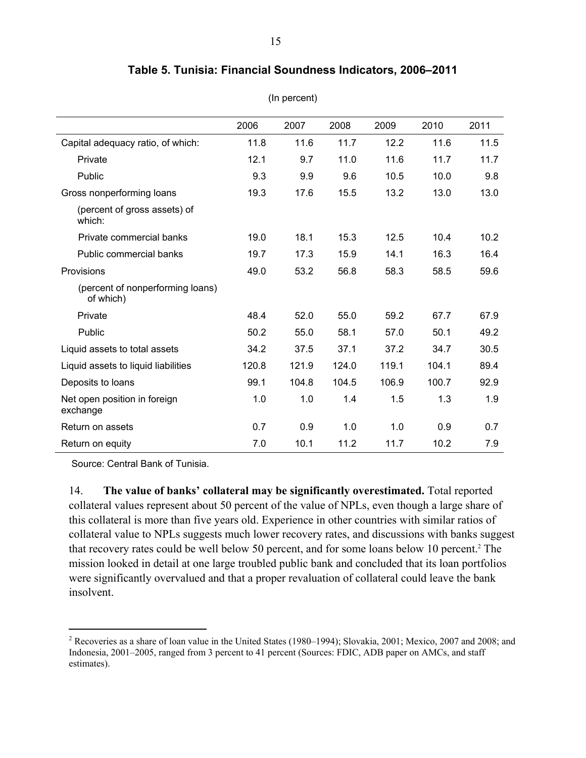|                                               | 2006  | 2007  | 2008  | 2009  | 2010  | 2011 |
|-----------------------------------------------|-------|-------|-------|-------|-------|------|
| Capital adequacy ratio, of which:             | 11.8  | 11.6  | 11.7  | 12.2  | 11.6  | 11.5 |
| Private                                       | 12.1  | 9.7   | 11.0  | 11.6  | 11.7  | 11.7 |
| Public                                        | 9.3   | 9.9   | 9.6   | 10.5  | 10.0  | 9.8  |
| Gross nonperforming loans                     | 19.3  | 17.6  | 15.5  | 13.2  | 13.0  | 13.0 |
| (percent of gross assets) of<br>which:        |       |       |       |       |       |      |
| Private commercial banks                      | 19.0  | 18.1  | 15.3  | 12.5  | 10.4  | 10.2 |
| Public commercial banks                       | 19.7  | 17.3  | 15.9  | 14.1  | 16.3  | 16.4 |
| Provisions                                    | 49.0  | 53.2  | 56.8  | 58.3  | 58.5  | 59.6 |
| (percent of nonperforming loans)<br>of which) |       |       |       |       |       |      |
| Private                                       | 48.4  | 52.0  | 55.0  | 59.2  | 67.7  | 67.9 |
| Public                                        | 50.2  | 55.0  | 58.1  | 57.0  | 50.1  | 49.2 |
| Liquid assets to total assets                 | 34.2  | 37.5  | 37.1  | 37.2  | 34.7  | 30.5 |
| Liquid assets to liquid liabilities           | 120.8 | 121.9 | 124.0 | 119.1 | 104.1 | 89.4 |
| Deposits to loans                             | 99.1  | 104.8 | 104.5 | 106.9 | 100.7 | 92.9 |
| Net open position in foreign<br>exchange      | 1.0   | 1.0   | 1.4   | 1.5   | 1.3   | 1.9  |
| Return on assets                              | 0.7   | 0.9   | 1.0   | 1.0   | 0.9   | 0.7  |
| Return on equity                              | 7.0   | 10.1  | 11.2  | 11.7  | 10.2  | 7.9  |

## **Table 5. Tunisia: Financial Soundness Indicators, 2006–2011**

(In percent)

Source: Central Bank of Tunisia.

1

14. **The value of banks' collateral may be significantly overestimated.** Total reported collateral values represent about 50 percent of the value of NPLs, even though a large share of this collateral is more than five years old. Experience in other countries with similar ratios of collateral value to NPLs suggests much lower recovery rates, and discussions with banks suggest that recovery rates could be well below 50 percent, and for some loans below 10 percent.<sup>2</sup> The mission looked in detail at one large troubled public bank and concluded that its loan portfolios were significantly overvalued and that a proper revaluation of collateral could leave the bank insolvent.

<sup>&</sup>lt;sup>2</sup> Recoveries as a share of loan value in the United States (1980–1994); Slovakia, 2001; Mexico, 2007 and 2008; and Indonesia, 2001–2005, ranged from 3 percent to 41 percent (Sources: FDIC, ADB paper on AMCs, and staff estimates).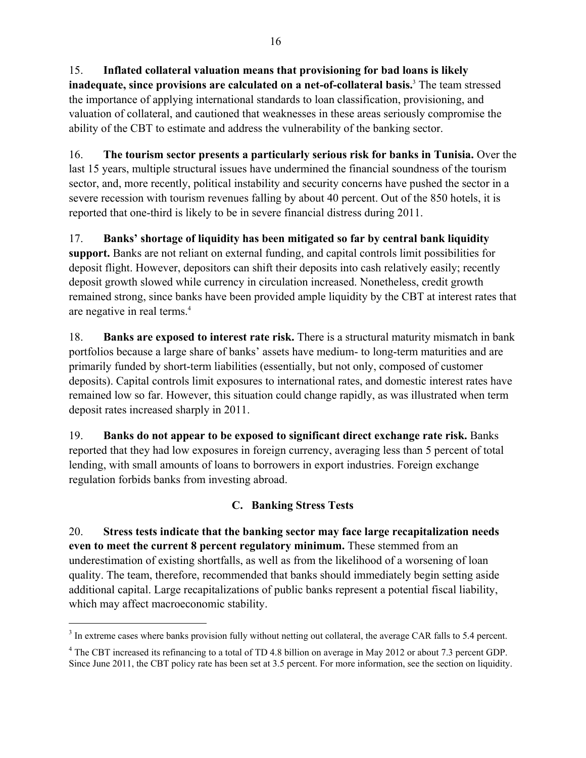15. **Inflated collateral valuation means that provisioning for bad loans is likely inadequate, since provisions are calculated on a net-of-collateral basis.**<sup>3</sup> The team stressed the importance of applying international standards to loan classification, provisioning, and valuation of collateral, and cautioned that weaknesses in these areas seriously compromise the ability of the CBT to estimate and address the vulnerability of the banking sector.

16. **The tourism sector presents a particularly serious risk for banks in Tunisia.** Over the last 15 years, multiple structural issues have undermined the financial soundness of the tourism sector, and, more recently, political instability and security concerns have pushed the sector in a severe recession with tourism revenues falling by about 40 percent. Out of the 850 hotels, it is reported that one-third is likely to be in severe financial distress during 2011.

17. **Banks' shortage of liquidity has been mitigated so far by central bank liquidity support.** Banks are not reliant on external funding, and capital controls limit possibilities for deposit flight. However, depositors can shift their deposits into cash relatively easily; recently deposit growth slowed while currency in circulation increased. Nonetheless, credit growth remained strong, since banks have been provided ample liquidity by the CBT at interest rates that are negative in real terms.4

18. **Banks are exposed to interest rate risk.** There is a structural maturity mismatch in bank portfolios because a large share of banks' assets have medium- to long-term maturities and are primarily funded by short-term liabilities (essentially, but not only, composed of customer deposits). Capital controls limit exposures to international rates, and domestic interest rates have remained low so far. However, this situation could change rapidly, as was illustrated when term deposit rates increased sharply in 2011.

19. **Banks do not appear to be exposed to significant direct exchange rate risk.** Banks reported that they had low exposures in foreign currency, averaging less than 5 percent of total lending, with small amounts of loans to borrowers in export industries. Foreign exchange regulation forbids banks from investing abroad.

# **C. Banking Stress Tests**

20. **Stress tests indicate that the banking sector may face large recapitalization needs even to meet the current 8 percent regulatory minimum.** These stemmed from an underestimation of existing shortfalls, as well as from the likelihood of a worsening of loan quality. The team, therefore, recommended that banks should immediately begin setting aside additional capital. Large recapitalizations of public banks represent a potential fiscal liability, which may affect macroeconomic stability.

 $\overline{a}$ 

 $3$  In extreme cases where banks provision fully without netting out collateral, the average CAR falls to 5.4 percent.

<sup>&</sup>lt;sup>4</sup> The CBT increased its refinancing to a total of TD 4.8 billion on average in May 2012 or about 7.3 percent GDP. Since June 2011, the CBT policy rate has been set at 3.5 percent. For more information, see the section on liquidity.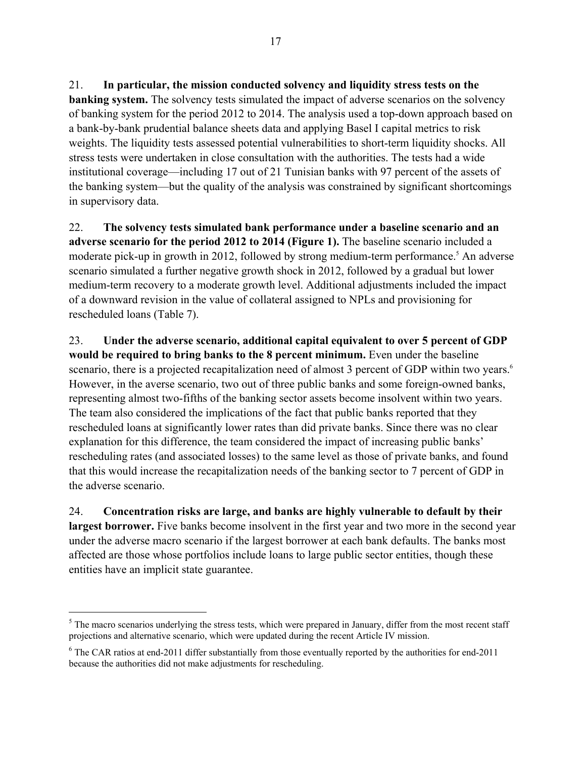21. **In particular, the mission conducted solvency and liquidity stress tests on the banking system.** The solvency tests simulated the impact of adverse scenarios on the solvency of banking system for the period 2012 to 2014. The analysis used a top-down approach based on a bank-by-bank prudential balance sheets data and applying Basel I capital metrics to risk weights. The liquidity tests assessed potential vulnerabilities to short-term liquidity shocks. All stress tests were undertaken in close consultation with the authorities. The tests had a wide institutional coverage—including 17 out of 21 Tunisian banks with 97 percent of the assets of the banking system—but the quality of the analysis was constrained by significant shortcomings in supervisory data.

22. **The solvency tests simulated bank performance under a baseline scenario and an adverse scenario for the period 2012 to 2014 (Figure 1).** The baseline scenario included a moderate pick-up in growth in 2012, followed by strong medium-term performance.<sup>5</sup> An adverse scenario simulated a further negative growth shock in 2012, followed by a gradual but lower medium-term recovery to a moderate growth level. Additional adjustments included the impact of a downward revision in the value of collateral assigned to NPLs and provisioning for rescheduled loans (Table 7).

23. **Under the adverse scenario, additional capital equivalent to over 5 percent of GDP would be required to bring banks to the 8 percent minimum.** Even under the baseline scenario, there is a projected recapitalization need of almost 3 percent of GDP within two years.<sup>6</sup> However, in the averse scenario, two out of three public banks and some foreign-owned banks, representing almost two-fifths of the banking sector assets become insolvent within two years. The team also considered the implications of the fact that public banks reported that they rescheduled loans at significantly lower rates than did private banks. Since there was no clear explanation for this difference, the team considered the impact of increasing public banks' rescheduling rates (and associated losses) to the same level as those of private banks, and found that this would increase the recapitalization needs of the banking sector to 7 percent of GDP in the adverse scenario.

24. **Concentration risks are large, and banks are highly vulnerable to default by their largest borrower.** Five banks become insolvent in the first year and two more in the second year under the adverse macro scenario if the largest borrower at each bank defaults. The banks most affected are those whose portfolios include loans to large public sector entities, though these entities have an implicit state guarantee.

<u>.</u>

 $<sup>5</sup>$  The macro scenarios underlying the stress tests, which were prepared in January, differ from the most recent staff</sup> projections and alternative scenario, which were updated during the recent Article IV mission.

 $6$  The CAR ratios at end-2011 differ substantially from those eventually reported by the authorities for end-2011 because the authorities did not make adjustments for rescheduling.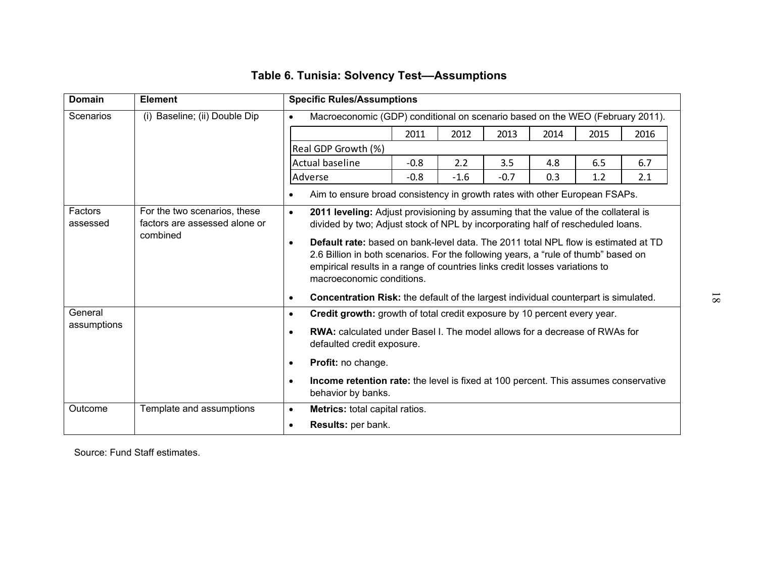| <b>Domain</b> | <b>Element</b>                | <b>Specific Rules/Assumptions</b>                                                                                                                                                                                                                                                                                                                                                                                                                                                                                         |        |        |      |      |      |      |
|---------------|-------------------------------|---------------------------------------------------------------------------------------------------------------------------------------------------------------------------------------------------------------------------------------------------------------------------------------------------------------------------------------------------------------------------------------------------------------------------------------------------------------------------------------------------------------------------|--------|--------|------|------|------|------|
| Scenarios     | (i) Baseline; (ii) Double Dip | Macroeconomic (GDP) conditional on scenario based on the WEO (February 2011).<br>$\bullet$                                                                                                                                                                                                                                                                                                                                                                                                                                |        |        |      |      |      |      |
|               |                               |                                                                                                                                                                                                                                                                                                                                                                                                                                                                                                                           | 2011   | 2012   | 2013 | 2014 | 2015 | 2016 |
|               |                               | Real GDP Growth (%)                                                                                                                                                                                                                                                                                                                                                                                                                                                                                                       |        |        |      |      |      |      |
|               |                               | Actual baseline                                                                                                                                                                                                                                                                                                                                                                                                                                                                                                           | $-0.8$ | 2.2    | 3.5  | 4.8  | 6.5  | 6.7  |
|               | Adverse                       | $-0.8$                                                                                                                                                                                                                                                                                                                                                                                                                                                                                                                    | $-1.6$ | $-0.7$ | 0.3  | 1.2  | 2.1  |      |
|               |                               | Aim to ensure broad consistency in growth rates with other European FSAPs.<br>$\bullet$                                                                                                                                                                                                                                                                                                                                                                                                                                   |        |        |      |      |      |      |
|               | combined                      | factors are assessed alone or<br>divided by two; Adjust stock of NPL by incorporating half of rescheduled loans.<br>Default rate: based on bank-level data. The 2011 total NPL flow is estimated at TD<br>$\bullet$<br>2.6 Billion in both scenarios. For the following years, a "rule of thumb" based on<br>empirical results in a range of countries links credit losses variations to<br>macroeconomic conditions.<br>Concentration Risk: the default of the largest individual counterpart is simulated.<br>$\bullet$ |        |        |      |      |      |      |
|               |                               |                                                                                                                                                                                                                                                                                                                                                                                                                                                                                                                           |        |        |      |      |      |      |
| General       |                               | Credit growth: growth of total credit exposure by 10 percent every year.<br>$\bullet$                                                                                                                                                                                                                                                                                                                                                                                                                                     |        |        |      |      |      |      |
| assumptions   |                               | <b>RWA:</b> calculated under Basel I. The model allows for a decrease of RWAs for<br>$\bullet$<br>defaulted credit exposure.                                                                                                                                                                                                                                                                                                                                                                                              |        |        |      |      |      |      |
|               |                               | Profit: no change.<br>$\bullet$                                                                                                                                                                                                                                                                                                                                                                                                                                                                                           |        |        |      |      |      |      |
|               |                               | Income retention rate: the level is fixed at 100 percent. This assumes conservative<br>$\bullet$<br>behavior by banks.                                                                                                                                                                                                                                                                                                                                                                                                    |        |        |      |      |      |      |
| Outcome       | Template and assumptions      | Metrics: total capital ratios.<br>$\bullet$                                                                                                                                                                                                                                                                                                                                                                                                                                                                               |        |        |      |      |      |      |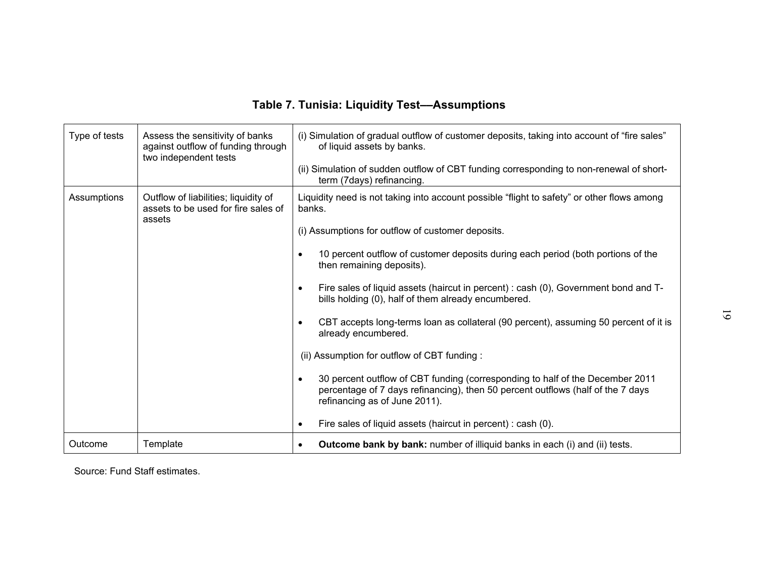| <b>Table 7. Tunisia: Liquidity Test--Assumptions</b> |                                                                                                |                                                                                                                                                                                                                |  |  |  |
|------------------------------------------------------|------------------------------------------------------------------------------------------------|----------------------------------------------------------------------------------------------------------------------------------------------------------------------------------------------------------------|--|--|--|
| Type of tests                                        | Assess the sensitivity of banks<br>against outflow of funding through<br>two independent tests | (i) Simulation of gradual outflow of customer deposits, taking into account of "fire sales"<br>of liquid assets by banks.                                                                                      |  |  |  |
|                                                      |                                                                                                | (ii) Simulation of sudden outflow of CBT funding corresponding to non-renewal of short-<br>term (7days) refinancing.                                                                                           |  |  |  |
| Assumptions                                          | Outflow of liabilities; liquidity of<br>assets to be used for fire sales of<br>assets          | Liquidity need is not taking into account possible "flight to safety" or other flows among<br>banks.                                                                                                           |  |  |  |
|                                                      |                                                                                                | (i) Assumptions for outflow of customer deposits.                                                                                                                                                              |  |  |  |
|                                                      |                                                                                                | 10 percent outflow of customer deposits during each period (both portions of the<br>$\bullet$<br>then remaining deposits).                                                                                     |  |  |  |
|                                                      |                                                                                                | Fire sales of liquid assets (haircut in percent) : cash (0), Government bond and T-<br>$\bullet$<br>bills holding (0), half of them already encumbered.                                                        |  |  |  |
|                                                      |                                                                                                | CBT accepts long-terms loan as collateral (90 percent), assuming 50 percent of it is<br>$\bullet$<br>already encumbered.                                                                                       |  |  |  |
|                                                      |                                                                                                | (ii) Assumption for outflow of CBT funding:                                                                                                                                                                    |  |  |  |
|                                                      |                                                                                                | 30 percent outflow of CBT funding (corresponding to half of the December 2011<br>$\bullet$<br>percentage of 7 days refinancing), then 50 percent outflows (half of the 7 days<br>refinancing as of June 2011). |  |  |  |
|                                                      |                                                                                                | Fire sales of liquid assets (haircut in percent) : cash (0).<br>$\bullet$                                                                                                                                      |  |  |  |
| Outcome                                              | Template                                                                                       | Outcome bank by bank: number of illiquid banks in each (i) and (ii) tests.<br>$\bullet$                                                                                                                        |  |  |  |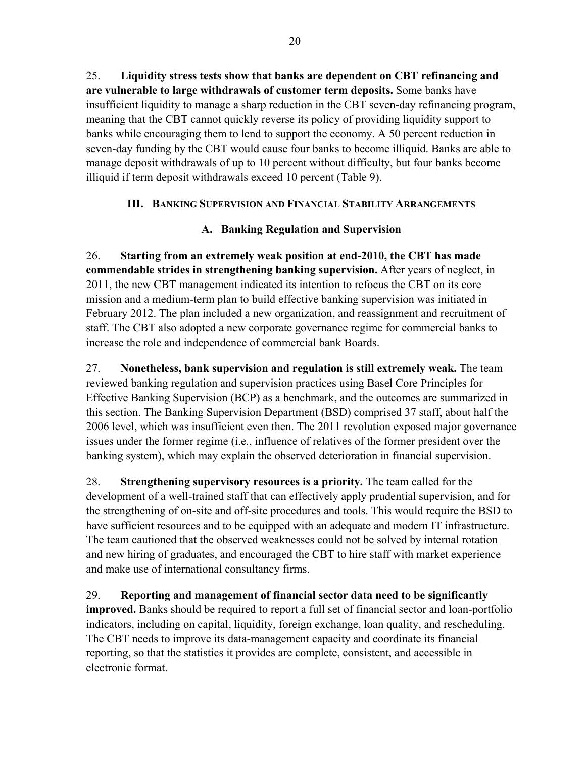25. **Liquidity stress tests show that banks are dependent on CBT refinancing and are vulnerable to large withdrawals of customer term deposits.** Some banks have insufficient liquidity to manage a sharp reduction in the CBT seven-day refinancing program, meaning that the CBT cannot quickly reverse its policy of providing liquidity support to banks while encouraging them to lend to support the economy. A 50 percent reduction in seven-day funding by the CBT would cause four banks to become illiquid. Banks are able to manage deposit withdrawals of up to 10 percent without difficulty, but four banks become illiquid if term deposit withdrawals exceed 10 percent (Table 9).

# **III. BANKING SUPERVISION AND FINANCIAL STABILITY ARRANGEMENTS**

# **A. Banking Regulation and Supervision**

26. **Starting from an extremely weak position at end-2010, the CBT has made commendable strides in strengthening banking supervision.** After years of neglect, in 2011, the new CBT management indicated its intention to refocus the CBT on its core mission and a medium-term plan to build effective banking supervision was initiated in February 2012. The plan included a new organization, and reassignment and recruitment of staff. The CBT also adopted a new corporate governance regime for commercial banks to increase the role and independence of commercial bank Boards.

27. **Nonetheless, bank supervision and regulation is still extremely weak.** The team reviewed banking regulation and supervision practices using Basel Core Principles for Effective Banking Supervision (BCP) as a benchmark, and the outcomes are summarized in this section. The Banking Supervision Department (BSD) comprised 37 staff, about half the 2006 level, which was insufficient even then. The 2011 revolution exposed major governance issues under the former regime (i.e., influence of relatives of the former president over the banking system), which may explain the observed deterioration in financial supervision.

28. **Strengthening supervisory resources is a priority.** The team called for the development of a well-trained staff that can effectively apply prudential supervision, and for the strengthening of on-site and off-site procedures and tools. This would require the BSD to have sufficient resources and to be equipped with an adequate and modern IT infrastructure. The team cautioned that the observed weaknesses could not be solved by internal rotation and new hiring of graduates, and encouraged the CBT to hire staff with market experience and make use of international consultancy firms.

29. **Reporting and management of financial sector data need to be significantly improved.** Banks should be required to report a full set of financial sector and loan-portfolio indicators, including on capital, liquidity, foreign exchange, loan quality, and rescheduling. The CBT needs to improve its data-management capacity and coordinate its financial reporting, so that the statistics it provides are complete, consistent, and accessible in electronic format.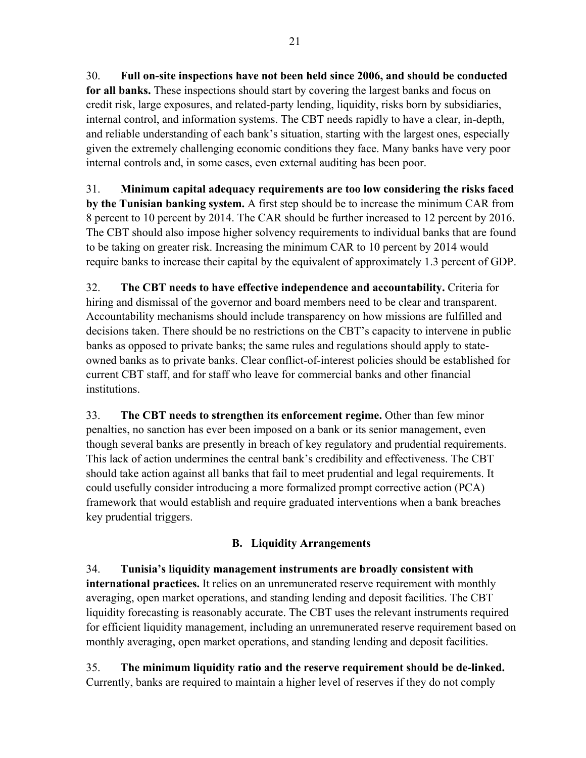30. **Full on-site inspections have not been held since 2006, and should be conducted for all banks.** These inspections should start by covering the largest banks and focus on credit risk, large exposures, and related-party lending, liquidity, risks born by subsidiaries, internal control, and information systems. The CBT needs rapidly to have a clear, in-depth, and reliable understanding of each bank's situation, starting with the largest ones, especially given the extremely challenging economic conditions they face. Many banks have very poor internal controls and, in some cases, even external auditing has been poor.

31. **Minimum capital adequacy requirements are too low considering the risks faced by the Tunisian banking system.** A first step should be to increase the minimum CAR from 8 percent to 10 percent by 2014. The CAR should be further increased to 12 percent by 2016. The CBT should also impose higher solvency requirements to individual banks that are found to be taking on greater risk. Increasing the minimum CAR to 10 percent by 2014 would require banks to increase their capital by the equivalent of approximately 1.3 percent of GDP.

32. **The CBT needs to have effective independence and accountability.** Criteria for hiring and dismissal of the governor and board members need to be clear and transparent. Accountability mechanisms should include transparency on how missions are fulfilled and decisions taken. There should be no restrictions on the CBT's capacity to intervene in public banks as opposed to private banks; the same rules and regulations should apply to stateowned banks as to private banks. Clear conflict-of-interest policies should be established for current CBT staff, and for staff who leave for commercial banks and other financial institutions.

33. **The CBT needs to strengthen its enforcement regime.** Other than few minor penalties, no sanction has ever been imposed on a bank or its senior management, even though several banks are presently in breach of key regulatory and prudential requirements. This lack of action undermines the central bank's credibility and effectiveness. The CBT should take action against all banks that fail to meet prudential and legal requirements. It could usefully consider introducing a more formalized prompt corrective action (PCA) framework that would establish and require graduated interventions when a bank breaches key prudential triggers.

# **B. Liquidity Arrangements**

34. **Tunisia's liquidity management instruments are broadly consistent with international practices.** It relies on an unremunerated reserve requirement with monthly averaging, open market operations, and standing lending and deposit facilities. The CBT liquidity forecasting is reasonably accurate. The CBT uses the relevant instruments required for efficient liquidity management, including an unremunerated reserve requirement based on monthly averaging, open market operations, and standing lending and deposit facilities.

35. **The minimum liquidity ratio and the reserve requirement should be de-linked.** Currently, banks are required to maintain a higher level of reserves if they do not comply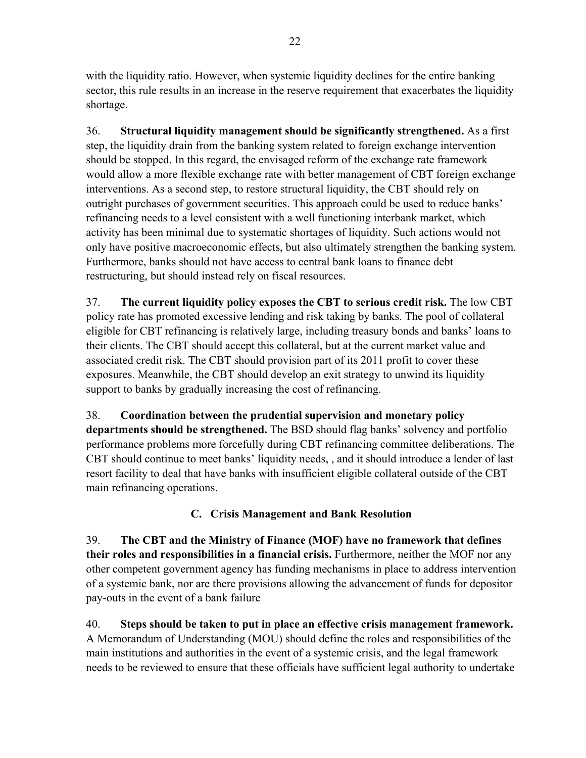with the liquidity ratio. However, when systemic liquidity declines for the entire banking sector, this rule results in an increase in the reserve requirement that exacerbates the liquidity shortage.

36. **Structural liquidity management should be significantly strengthened.** As a first step, the liquidity drain from the banking system related to foreign exchange intervention should be stopped. In this regard, the envisaged reform of the exchange rate framework would allow a more flexible exchange rate with better management of CBT foreign exchange interventions. As a second step, to restore structural liquidity, the CBT should rely on outright purchases of government securities. This approach could be used to reduce banks' refinancing needs to a level consistent with a well functioning interbank market, which activity has been minimal due to systematic shortages of liquidity. Such actions would not only have positive macroeconomic effects, but also ultimately strengthen the banking system. Furthermore, banks should not have access to central bank loans to finance debt restructuring, but should instead rely on fiscal resources.

37. **The current liquidity policy exposes the CBT to serious credit risk.** The low CBT policy rate has promoted excessive lending and risk taking by banks. The pool of collateral eligible for CBT refinancing is relatively large, including treasury bonds and banks' loans to their clients. The CBT should accept this collateral, but at the current market value and associated credit risk. The CBT should provision part of its 2011 profit to cover these exposures. Meanwhile, the CBT should develop an exit strategy to unwind its liquidity support to banks by gradually increasing the cost of refinancing.

38. **Coordination between the prudential supervision and monetary policy departments should be strengthened.** The BSD should flag banks' solvency and portfolio performance problems more forcefully during CBT refinancing committee deliberations. The CBT should continue to meet banks' liquidity needs, , and it should introduce a lender of last resort facility to deal that have banks with insufficient eligible collateral outside of the CBT main refinancing operations.

# **C. Crisis Management and Bank Resolution**

39. **The CBT and the Ministry of Finance (MOF) have no framework that defines their roles and responsibilities in a financial crisis.** Furthermore, neither the MOF nor any other competent government agency has funding mechanisms in place to address intervention of a systemic bank, nor are there provisions allowing the advancement of funds for depositor pay-outs in the event of a bank failure

40. **Steps should be taken to put in place an effective crisis management framework.** A Memorandum of Understanding (MOU) should define the roles and responsibilities of the main institutions and authorities in the event of a systemic crisis, and the legal framework needs to be reviewed to ensure that these officials have sufficient legal authority to undertake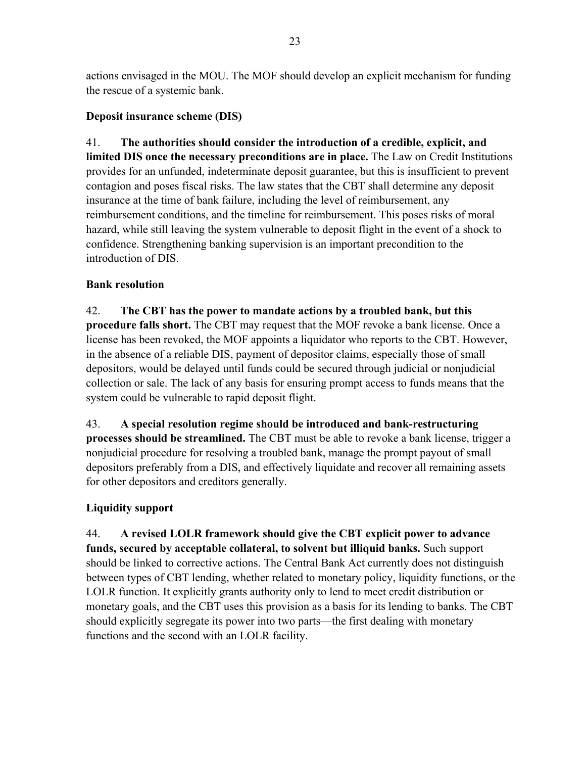actions envisaged in the MOU. The MOF should develop an explicit mechanism for funding the rescue of a systemic bank.

## **Deposit insurance scheme (DIS)**

41. **The authorities should consider the introduction of a credible, explicit, and limited DIS once the necessary preconditions are in place.** The Law on Credit Institutions provides for an unfunded, indeterminate deposit guarantee, but this is insufficient to prevent contagion and poses fiscal risks. The law states that the CBT shall determine any deposit insurance at the time of bank failure, including the level of reimbursement, any reimbursement conditions, and the timeline for reimbursement. This poses risks of moral hazard, while still leaving the system vulnerable to deposit flight in the event of a shock to confidence. Strengthening banking supervision is an important precondition to the introduction of DIS.

## **Bank resolution**

42. **The CBT has the power to mandate actions by a troubled bank, but this procedure falls short.** The CBT may request that the MOF revoke a bank license. Once a license has been revoked, the MOF appoints a liquidator who reports to the CBT. However, in the absence of a reliable DIS, payment of depositor claims, especially those of small depositors, would be delayed until funds could be secured through judicial or nonjudicial collection or sale. The lack of any basis for ensuring prompt access to funds means that the system could be vulnerable to rapid deposit flight.

43. **A special resolution regime should be introduced and bank-restructuring processes should be streamlined.** The CBT must be able to revoke a bank license, trigger a nonjudicial procedure for resolving a troubled bank, manage the prompt payout of small depositors preferably from a DIS, and effectively liquidate and recover all remaining assets for other depositors and creditors generally.

# **Liquidity support**

44. **A revised LOLR framework should give the CBT explicit power to advance funds, secured by acceptable collateral, to solvent but illiquid banks.** Such support should be linked to corrective actions. The Central Bank Act currently does not distinguish between types of CBT lending, whether related to monetary policy, liquidity functions, or the LOLR function. It explicitly grants authority only to lend to meet credit distribution or monetary goals, and the CBT uses this provision as a basis for its lending to banks. The CBT should explicitly segregate its power into two parts—the first dealing with monetary functions and the second with an LOLR facility.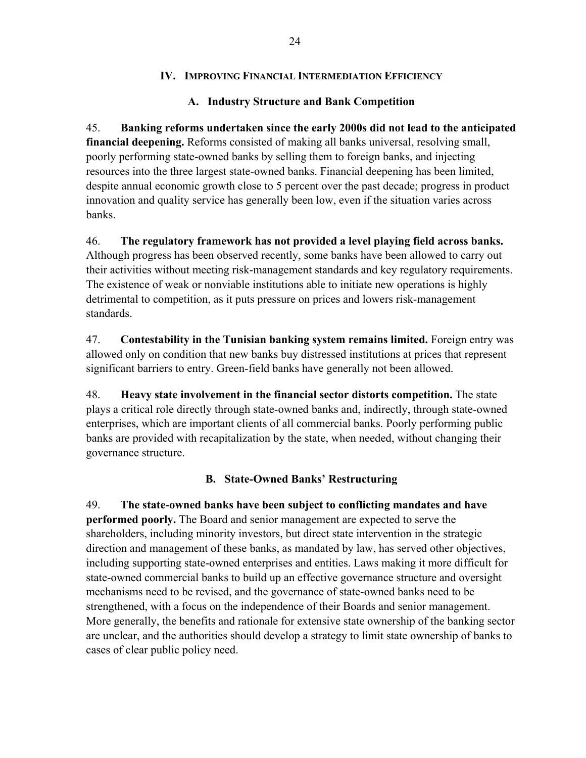## **IV. IMPROVING FINANCIAL INTERMEDIATION EFFICIENCY**

## **A. Industry Structure and Bank Competition**

45. **Banking reforms undertaken since the early 2000s did not lead to the anticipated financial deepening.** Reforms consisted of making all banks universal, resolving small, poorly performing state-owned banks by selling them to foreign banks, and injecting resources into the three largest state-owned banks. Financial deepening has been limited, despite annual economic growth close to 5 percent over the past decade; progress in product innovation and quality service has generally been low, even if the situation varies across banks.

46. **The regulatory framework has not provided a level playing field across banks.**  Although progress has been observed recently, some banks have been allowed to carry out their activities without meeting risk-management standards and key regulatory requirements. The existence of weak or nonviable institutions able to initiate new operations is highly detrimental to competition, as it puts pressure on prices and lowers risk-management standards.

47. **Contestability in the Tunisian banking system remains limited.** Foreign entry was allowed only on condition that new banks buy distressed institutions at prices that represent significant barriers to entry. Green-field banks have generally not been allowed.

48. **Heavy state involvement in the financial sector distorts competition.** The state plays a critical role directly through state-owned banks and, indirectly, through state-owned enterprises, which are important clients of all commercial banks. Poorly performing public banks are provided with recapitalization by the state, when needed, without changing their governance structure.

# **B. State-Owned Banks' Restructuring**

49. **The state-owned banks have been subject to conflicting mandates and have performed poorly.** The Board and senior management are expected to serve the shareholders, including minority investors, but direct state intervention in the strategic direction and management of these banks, as mandated by law, has served other objectives, including supporting state-owned enterprises and entities. Laws making it more difficult for state-owned commercial banks to build up an effective governance structure and oversight mechanisms need to be revised, and the governance of state-owned banks need to be strengthened, with a focus on the independence of their Boards and senior management. More generally, the benefits and rationale for extensive state ownership of the banking sector are unclear, and the authorities should develop a strategy to limit state ownership of banks to cases of clear public policy need.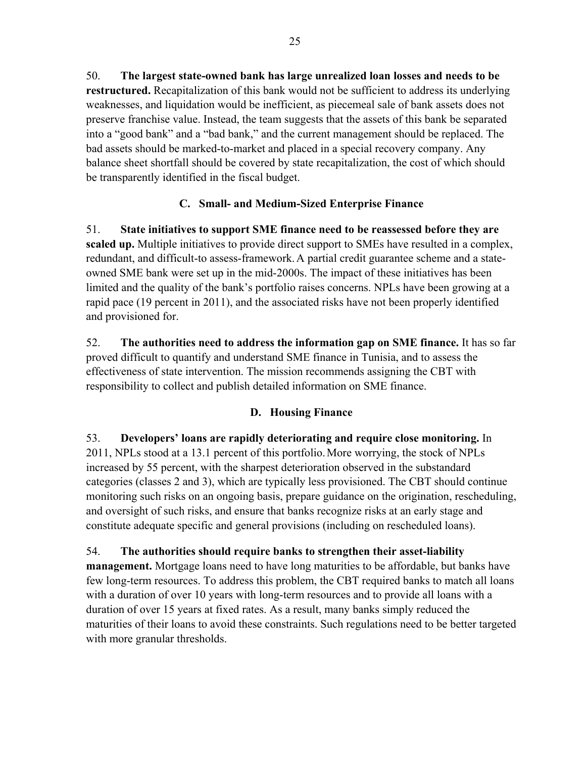50. **The largest state-owned bank has large unrealized loan losses and needs to be restructured.** Recapitalization of this bank would not be sufficient to address its underlying weaknesses, and liquidation would be inefficient, as piecemeal sale of bank assets does not preserve franchise value. Instead, the team suggests that the assets of this bank be separated into a "good bank" and a "bad bank," and the current management should be replaced. The bad assets should be marked-to-market and placed in a special recovery company. Any balance sheet shortfall should be covered by state recapitalization, the cost of which should be transparently identified in the fiscal budget.

# **C. Small- and Medium-Sized Enterprise Finance**

51. **State initiatives to support SME finance need to be reassessed before they are scaled up.** Multiple initiatives to provide direct support to SMEs have resulted in a complex, redundant, and difficult-to assess-framework.A partial credit guarantee scheme and a stateowned SME bank were set up in the mid-2000s. The impact of these initiatives has been limited and the quality of the bank's portfolio raises concerns. NPLs have been growing at a rapid pace (19 percent in 2011), and the associated risks have not been properly identified and provisioned for.

52. **The authorities need to address the information gap on SME finance.** It has so far proved difficult to quantify and understand SME finance in Tunisia, and to assess the effectiveness of state intervention. The mission recommends assigning the CBT with responsibility to collect and publish detailed information on SME finance.

# **D. Housing Finance**

53. **Developers' loans are rapidly deteriorating and require close monitoring.** In 2011, NPLs stood at a 13.1 percent of this portfolio.More worrying, the stock of NPLs increased by 55 percent, with the sharpest deterioration observed in the substandard categories (classes 2 and 3), which are typically less provisioned. The CBT should continue monitoring such risks on an ongoing basis, prepare guidance on the origination, rescheduling, and oversight of such risks, and ensure that banks recognize risks at an early stage and constitute adequate specific and general provisions (including on rescheduled loans).

54. **The authorities should require banks to strengthen their asset-liability management.** Mortgage loans need to have long maturities to be affordable, but banks have few long-term resources. To address this problem, the CBT required banks to match all loans with a duration of over 10 years with long-term resources and to provide all loans with a duration of over 15 years at fixed rates. As a result, many banks simply reduced the maturities of their loans to avoid these constraints. Such regulations need to be better targeted with more granular thresholds.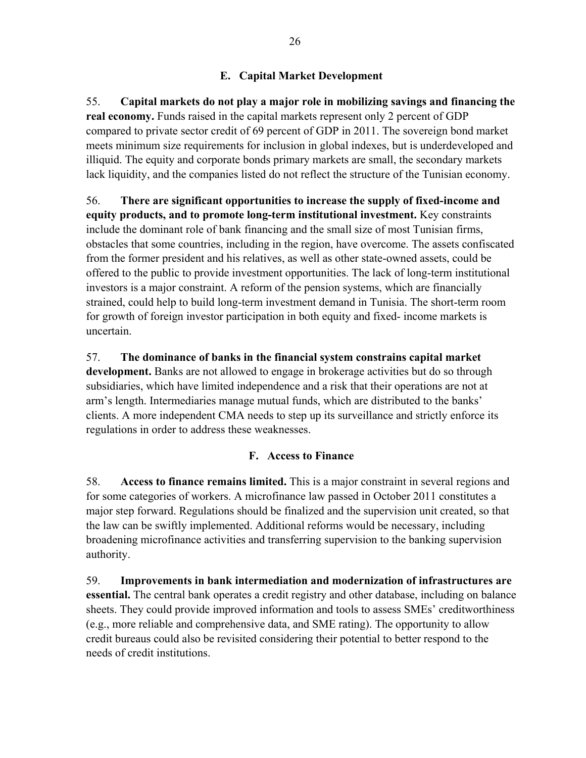# **E. Capital Market Development**

55. **Capital markets do not play a major role in mobilizing savings and financing the real economy.** Funds raised in the capital markets represent only 2 percent of GDP compared to private sector credit of 69 percent of GDP in 2011. The sovereign bond market meets minimum size requirements for inclusion in global indexes, but is underdeveloped and illiquid. The equity and corporate bonds primary markets are small, the secondary markets lack liquidity, and the companies listed do not reflect the structure of the Tunisian economy.

56. **There are significant opportunities to increase the supply of fixed-income and equity products, and to promote long-term institutional investment.** Key constraints include the dominant role of bank financing and the small size of most Tunisian firms, obstacles that some countries, including in the region, have overcome. The assets confiscated from the former president and his relatives, as well as other state-owned assets, could be offered to the public to provide investment opportunities. The lack of long-term institutional investors is a major constraint. A reform of the pension systems, which are financially strained, could help to build long-term investment demand in Tunisia. The short-term room for growth of foreign investor participation in both equity and fixed- income markets is uncertain.

57. **The dominance of banks in the financial system constrains capital market development.** Banks are not allowed to engage in brokerage activities but do so through subsidiaries, which have limited independence and a risk that their operations are not at arm's length. Intermediaries manage mutual funds, which are distributed to the banks' clients. A more independent CMA needs to step up its surveillance and strictly enforce its regulations in order to address these weaknesses.

## **F. Access to Finance**

58. **Access to finance remains limited.** This is a major constraint in several regions and for some categories of workers. A microfinance law passed in October 2011 constitutes a major step forward. Regulations should be finalized and the supervision unit created, so that the law can be swiftly implemented. Additional reforms would be necessary, including broadening microfinance activities and transferring supervision to the banking supervision authority.

59. **Improvements in bank intermediation and modernization of infrastructures are essential.** The central bank operates a credit registry and other database, including on balance sheets. They could provide improved information and tools to assess SMEs' creditworthiness (e.g., more reliable and comprehensive data, and SME rating). The opportunity to allow credit bureaus could also be revisited considering their potential to better respond to the needs of credit institutions.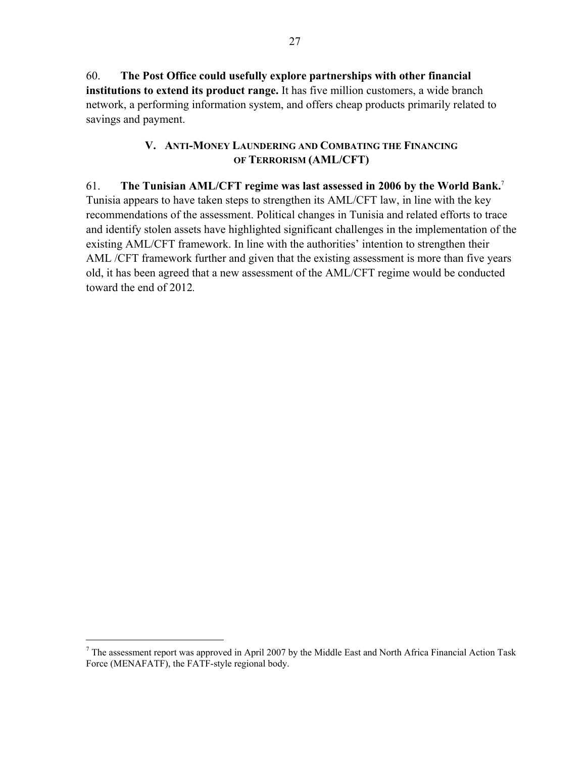60. **The Post Office could usefully explore partnerships with other financial institutions to extend its product range.** It has five million customers, a wide branch network, a performing information system, and offers cheap products primarily related to savings and payment.

## **V. ANTI-MONEY LAUNDERING AND COMBATING THE FINANCING OF TERRORISM (AML/CFT)**

## 61. **The Tunisian AML/CFT regime was last assessed in 2006 by the World Bank.**<sup>7</sup>

Tunisia appears to have taken steps to strengthen its AML/CFT law, in line with the key recommendations of the assessment. Political changes in Tunisia and related efforts to trace and identify stolen assets have highlighted significant challenges in the implementation of the existing AML/CFT framework. In line with the authorities' intention to strengthen their AML /CFT framework further and given that the existing assessment is more than five years old, it has been agreed that a new assessment of the AML/CFT regime would be conducted toward the end of 2012*.*

1

 $7$  The assessment report was approved in April 2007 by the Middle East and North Africa Financial Action Task Force (MENAFATF), the FATF-style regional body.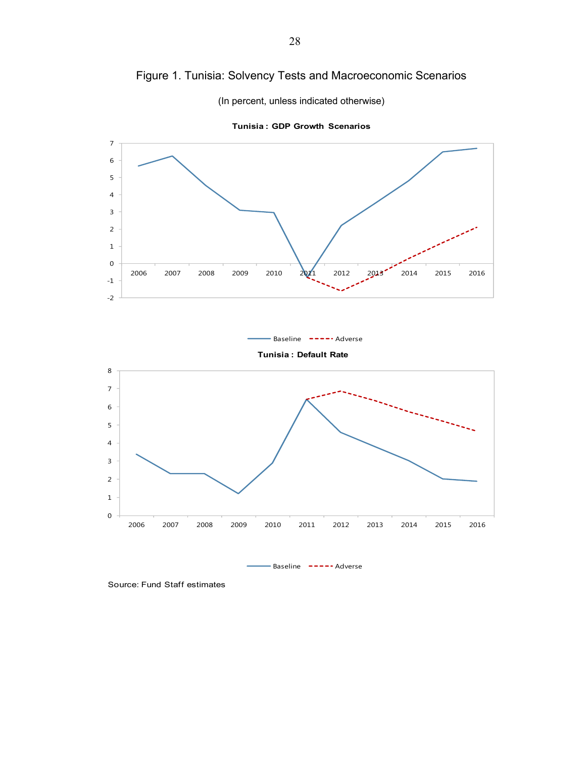



Source: Fund Staff estimates